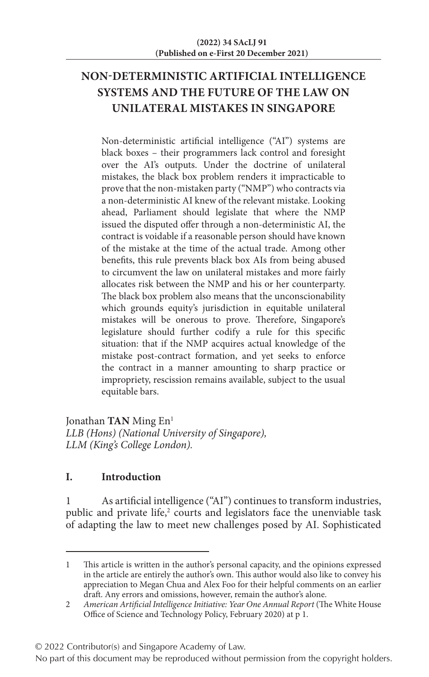# **NON-DETERMINISTIC ARTIFICIAL INTELLIGENCE SYSTEMS AND THE FUTURE OF THE LAW ON UNILATERAL MISTAKES IN SINGAPORE**

Non-deterministic artificial intelligence ("AI") systems are black boxes – their programmers lack control and foresight over the AI's outputs. Under the doctrine of unilateral mistakes, the black box problem renders it impracticable to prove that the non-mistaken party ("NMP") who contracts via a non-deterministic AI knew of the relevant mistake. Looking ahead, Parliament should legislate that where the NMP issued the disputed offer through a non-deterministic AI, the contract is voidable if a reasonable person should have known of the mistake at the time of the actual trade. Among other benefits, this rule prevents black box AIs from being abused to circumvent the law on unilateral mistakes and more fairly allocates risk between the NMP and his or her counterparty. The black box problem also means that the unconscionability which grounds equity's jurisdiction in equitable unilateral mistakes will be onerous to prove. Therefore, Singapore's legislature should further codify a rule for this specific situation: that if the NMP acquires actual knowledge of the mistake post-contract formation, and yet seeks to enforce the contract in a manner amounting to sharp practice or impropriety, rescission remains available, subject to the usual equitable bars.

Jonathan **TAN** Ming En<sup>1</sup> *LLB (Hons) (National University of Singapore), LLM (King's College London).*

## **I. Introduction**

As artificial intelligence ("AI") continues to transform industries, public and private life, $2$  courts and legislators face the unenviable task of adapting the law to meet new challenges posed by AI. Sophisticated

© 2022 Contributor(s) and Singapore Academy of Law.

<sup>1</sup> This article is written in the author's personal capacity, and the opinions expressed in the article are entirely the author's own. This author would also like to convey his appreciation to Megan Chua and Alex Foo for their helpful comments on an earlier draft. Any errors and omissions, however, remain the author's alone.

<sup>2</sup> *American Artificial Intelligence Initiative: Year One Annual Report* (The White House Office of Science and Technology Policy, February 2020) at p 1.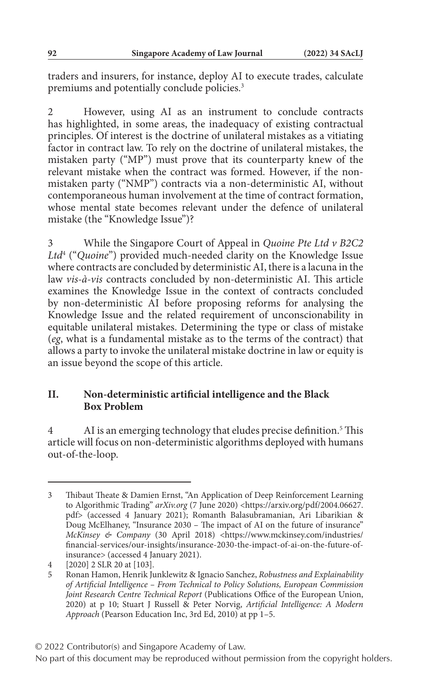traders and insurers, for instance, deploy AI to execute trades, calculate premiums and potentially conclude policies.<sup>3</sup>

2 However, using AI as an instrument to conclude contracts has highlighted, in some areas, the inadequacy of existing contractual principles. Of interest is the doctrine of unilateral mistakes as a vitiating factor in contract law. To rely on the doctrine of unilateral mistakes, the mistaken party ("MP") must prove that its counterparty knew of the relevant mistake when the contract was formed. However, if the nonmistaken party ("NMP") contracts via a non-deterministic AI, without contemporaneous human involvement at the time of contract formation, whose mental state becomes relevant under the defence of unilateral mistake (the "Knowledge Issue")?

3 While the Singapore Court of Appeal in *Quoine Pte Ltd v B2C2 Ltd*<sup>4</sup> ("*Quoine*") provided much-needed clarity on the Knowledge Issue where contracts are concluded by deterministic AI, there is a lacuna in the law *vis-à-vis* contracts concluded by non-deterministic AI. This article examines the Knowledge Issue in the context of contracts concluded by non-deterministic AI before proposing reforms for analysing the Knowledge Issue and the related requirement of unconscionability in equitable unilateral mistakes. Determining the type or class of mistake (*eg*, what is a fundamental mistake as to the terms of the contract) that allows a party to invoke the unilateral mistake doctrine in law or equity is an issue beyond the scope of this article.

### **II. Non-deterministic artificial intelligence and the Black Box Problem**

4 AI is an emerging technology that eludes precise definition.<sup>5</sup> This article will focus on non-deterministic algorithms deployed with humans out-of-the-loop.

<sup>3</sup> Thibaut Theate & Damien Ernst, "An Application of Deep Reinforcement Learning to Algorithmic Trading" *arXiv.org* (7 June 2020) <https://arxiv.org/pdf/2004.06627. pdf> (accessed 4 January 2021); Romanth Balasubramanian, Ari Libarikian & Doug McElhaney, "Insurance 2030 – The impact of AI on the future of insurance" *McKinsey & Company* (30 April 2018) <https://www.mckinsey.com/industries/ financial-services/our-insights/insurance-2030-the-impact-of-ai-on-the-future-ofinsurance> (accessed 4 January 2021).

<sup>4</sup> [2020] 2 SLR 20 at [103].

<sup>5</sup> Ronan Hamon, Henrik Junklewitz & Ignacio Sanchez, *Robustness and Explainability of Artificial Intelligence – From Technical to Policy Solutions, European Commission Joint Research Centre Technical Report* (Publications Office of the European Union, 2020) at p 10; Stuart J Russell & Peter Norvig, *Artificial Intelligence: A Modern Approach* (Pearson Education Inc, 3rd Ed, 2010) at pp 1–5.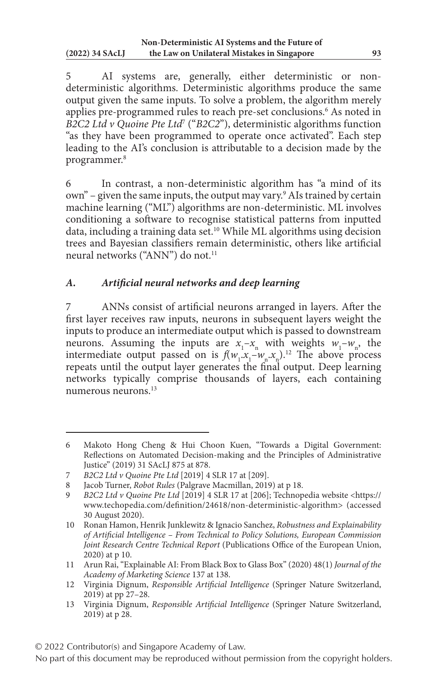5 AI systems are, generally, either deterministic or nondeterministic algorithms. Deterministic algorithms produce the same output given the same inputs. To solve a problem, the algorithm merely applies pre-programmed rules to reach pre-set conclusions.6 As noted in *B2C2 Ltd v Quoine Pte Ltd*<sup>7</sup> ("*B2C2*"), deterministic algorithms function "as they have been programmed to operate once activated". Each step leading to the AI's conclusion is attributable to a decision made by the programmer.8

6 In contrast, a non-deterministic algorithm has "a mind of its own" – given the same inputs, the output may vary.<sup>9</sup> AIs trained by certain machine learning ("ML") algorithms are non-deterministic. ML involves conditioning a software to recognise statistical patterns from inputted data, including a training data set.10 While ML algorithms using decision trees and Bayesian classifiers remain deterministic, others like artificial neural networks ("ANN") do not.<sup>11</sup>

### *A. Artificial neural networks and deep learning*

7 ANNs consist of artificial neurons arranged in layers. After the first layer receives raw inputs, neurons in subsequent layers weight the inputs to produce an intermediate output which is passed to downstream neurons. Assuming the inputs are  $x_1 - x_n$  with weights  $w_1 - w_n$ , the intermediate output passed on is  $f(w_1, x_1 - w_n, x_n)$ .<sup>12</sup> The above process repeats until the output layer generates the final output. Deep learning networks typically comprise thousands of layers, each containing numerous neurons.13

<sup>6</sup> Makoto Hong Cheng & Hui Choon Kuen, "Towards a Digital Government: Reflections on Automated Decision-making and the Principles of Administrative Justice" (2019) 31 SAcLJ 875 at 878.

<sup>7</sup> *B2C2 Ltd v Quoine Pte Ltd* [2019] 4 SLR 17 at [209].

<sup>8</sup> Jacob Turner, *Robot Rules* (Palgrave Macmillan, 2019) at p 18.

<sup>9</sup> *B2C2 Ltd v Quoine Pte Ltd* [2019] 4 SLR 17 at [206]; Technopedia website <https:// www.techopedia.com/definition/24618/non-deterministic-algorithm> (accessed 30 August 2020).

<sup>10</sup> Ronan Hamon, Henrik Junklewitz & Ignacio Sanchez, *Robustness and Explainability of Artificial Intelligence – From Technical to Policy Solutions, European Commission Joint Research Centre Technical Report* (Publications Office of the European Union, 2020) at p 10.

<sup>11</sup> Arun Rai, "Explainable AI: From Black Box to Glass Box" (2020) 48(1) *Journal of the Academy of Marketing Science* 137 at 138.

<sup>12</sup> Virginia Dignum, *Responsible Artificial Intelligence* (Springer Nature Switzerland, 2019) at pp 27–28.

<sup>13</sup> Virginia Dignum, *Responsible Artificial Intelligence* (Springer Nature Switzerland, 2019) at p 28.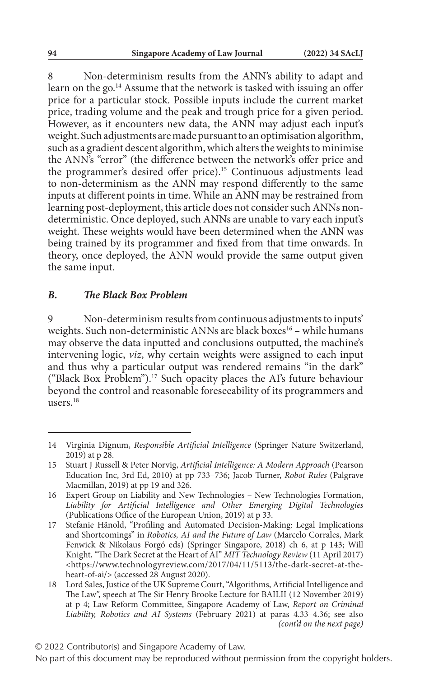8 Non-determinism results from the ANN's ability to adapt and learn on the go.<sup>14</sup> Assume that the network is tasked with issuing an offer price for a particular stock. Possible inputs include the current market price, trading volume and the peak and trough price for a given period. However, as it encounters new data, the ANN may adjust each input's weight. Such adjustments are made pursuant to an optimisation algorithm, such as a gradient descent algorithm, which alters the weights to minimise the ANN's "error" (the difference between the network's offer price and the programmer's desired offer price).<sup>15</sup> Continuous adjustments lead to non-determinism as the ANN may respond differently to the same inputs at different points in time. While an ANN may be restrained from learning post-deployment, this article does not consider such ANNs nondeterministic. Once deployed, such ANNs are unable to vary each input's weight. These weights would have been determined when the ANN was being trained by its programmer and fixed from that time onwards. In theory, once deployed, the ANN would provide the same output given the same input.

#### *B. The Black Box Problem*

9 Non-determinism results from continuous adjustments to inputs' weights. Such non-deterministic ANNs are black boxes<sup>16</sup> – while humans may observe the data inputted and conclusions outputted, the machine's intervening logic, *viz*, why certain weights were assigned to each input and thus why a particular output was rendered remains "in the dark" ("Black Box Problem").17 Such opacity places the AI's future behaviour beyond the control and reasonable foreseeability of its programmers and users.<sup>18</sup>

<sup>14</sup> Virginia Dignum, *Responsible Artificial Intelligence* (Springer Nature Switzerland, 2019) at p 28.

<sup>15</sup> Stuart J Russell & Peter Norvig, *Artificial Intelligence: A Modern Approach* (Pearson Education Inc, 3rd Ed, 2010) at pp 733–736; Jacob Turner, *Robot Rules* (Palgrave Macmillan, 2019) at pp 19 and 326.

<sup>16</sup> Expert Group on Liability and New Technologies – New Technologies Formation, *Liability for Artificial Intelligence and Other Emerging Digital Technologies* (Publications Office of the European Union, 2019) at p 33.

<sup>17</sup> Stefanie Hänold, "Profiling and Automated Decision-Making: Legal Implications and Shortcomings" in *Robotics, AI and the Future of Law* (Marcelo Corrales, Mark Fenwick & Nikolaus Forgó eds) (Springer Singapore, 2018) ch 6, at p 143; Will Knight, "The Dark Secret at the Heart of AI" *MIT Technology Review* (11 April 2017) <https://www.technologyreview.com/2017/04/11/5113/the-dark-secret-at-theheart-of-ai/> (accessed 28 August 2020).

<sup>18</sup> Lord Sales, Justice of the UK Supreme Court, "Algorithms, Artificial Intelligence and The Law", speech at The Sir Henry Brooke Lecture for BAILII (12 November 2019) at p 4; Law Reform Committee, Singapore Academy of Law, *Report on Criminal Liability, Robotics and AI Systems* (February 2021) at paras 4.33–4.36; see also *(cont'd on the next page)*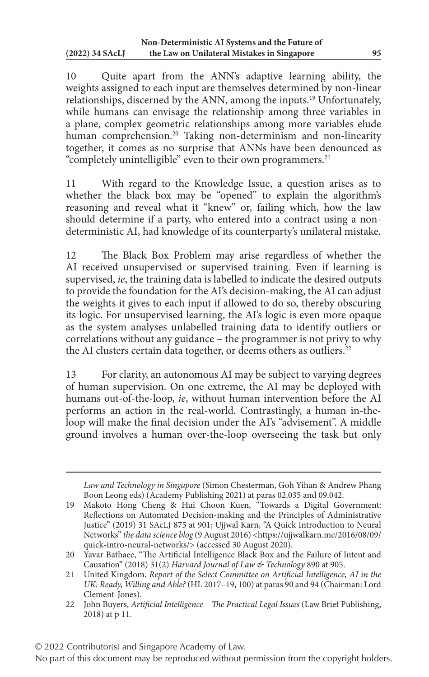10 Quite apart from the ANN's adaptive learning ability, the weights assigned to each input are themselves determined by non-linear relationships, discerned by the ANN, among the inputs.19 Unfortunately, while humans can envisage the relationship among three variables in a plane, complex geometric relationships among more variables elude human comprehension.<sup>20</sup> Taking non-determinism and non-linearity together, it comes as no surprise that ANNs have been denounced as "completely unintelligible" even to their own programmers.<sup>21</sup>

11 With regard to the Knowledge Issue, a question arises as to whether the black box may be "opened" to explain the algorithm's reasoning and reveal what it "knew" or, failing which, how the law should determine if a party, who entered into a contract using a nondeterministic AI, had knowledge of its counterparty's unilateral mistake.

12 The Black Box Problem may arise regardless of whether the AI received unsupervised or supervised training. Even if learning is supervised, *ie*, the training data is labelled to indicate the desired outputs to provide the foundation for the AI's decision-making, the AI can adjust the weights it gives to each input if allowed to do so, thereby obscuring its logic. For unsupervised learning, the AI's logic is even more opaque as the system analyses unlabelled training data to identify outliers or correlations without any guidance – the programmer is not privy to why the AI clusters certain data together, or deems others as outliers.<sup>22</sup>

13 For clarity, an autonomous AI may be subject to varying degrees of human supervision. On one extreme, the AI may be deployed with humans out-of-the-loop, *ie*, without human intervention before the AI performs an action in the real-world. Contrastingly, a human in-theloop will make the final decision under the AI's "advisement". A middle ground involves a human over-the-loop overseeing the task but only

*Law and Technology in Singapore* (Simon Chesterman, Goh Yihan & Andrew Phang Boon Leong eds) (Academy Publishing 2021) at paras 02.035 and 09.042.

<sup>19</sup> Makoto Hong Cheng & Hui Choon Kuen, "Towards a Digital Government: Reflections on Automated Decision-making and the Principles of Administrative Justice" (2019) 31 SAcLJ 875 at 901; Ujjwal Karn, "A Quick Introduction to Neural Networks" *the data science blog* (9 August 2016) <https://ujjwalkarn.me/2016/08/09/ quick-intro-neural-networks/> (accessed 30 August 2020).

<sup>20</sup> Yavar Bathaee, "The Artificial Intelligence Black Box and the Failure of Intent and Causation" (2018) 31(2) *Harvard Journal of Law & Technology* 890 at 905.

<sup>21</sup> United Kingdom, *Report of the Select Committee on Artificial Intelligence, AI in the UK: Ready, Willing and Able?* (HL 2017–19, 100) at paras 90 and 94 (Chairman: Lord Clement-Jones).

<sup>22</sup> John Buyers, *Artificial Intelligence – The Practical Legal Issues* (Law Brief Publishing, 2018) at p 11.

<sup>© 2022</sup> Contributor(s) and Singapore Academy of Law.

No part of this document may be reproduced without permission from the copyright holders.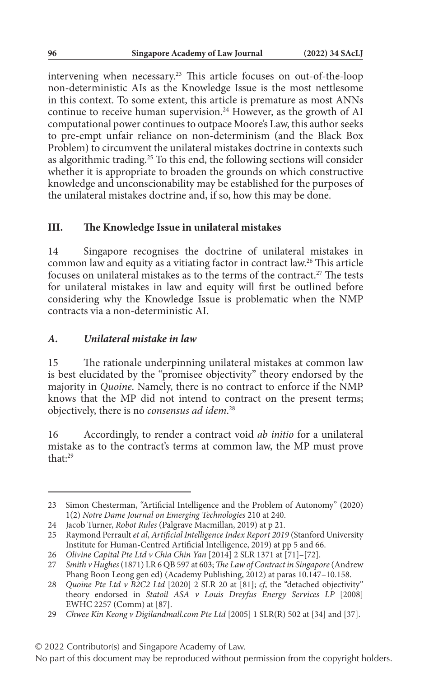intervening when necessary.23 This article focuses on out-of-the-loop non-deterministic AIs as the Knowledge Issue is the most nettlesome in this context. To some extent, this article is premature as most ANNs continue to receive human supervision.<sup>24</sup> However, as the growth of AI computational power continues to outpace Moore's Law, this author seeks to pre-empt unfair reliance on non-determinism (and the Black Box Problem) to circumvent the unilateral mistakes doctrine in contexts such as algorithmic trading.25 To this end, the following sections will consider whether it is appropriate to broaden the grounds on which constructive knowledge and unconscionability may be established for the purposes of the unilateral mistakes doctrine and, if so, how this may be done.

#### **III. The Knowledge Issue in unilateral mistakes**

14 Singapore recognises the doctrine of unilateral mistakes in common law and equity as a vitiating factor in contract law.26 This article focuses on unilateral mistakes as to the terms of the contract.<sup>27</sup> The tests for unilateral mistakes in law and equity will first be outlined before considering why the Knowledge Issue is problematic when the NMP contracts via a non-deterministic AI.

#### *A. Unilateral mistake in law*

15 The rationale underpinning unilateral mistakes at common law is best elucidated by the "promisee objectivity" theory endorsed by the majority in *Quoine*. Namely, there is no contract to enforce if the NMP knows that the MP did not intend to contract on the present terms; objectively, there is no *consensus ad idem*. 28

16 Accordingly, to render a contract void *ab initio* for a unilateral mistake as to the contract's terms at common law, the MP must prove that:29

<sup>23</sup> Simon Chesterman, "Artificial Intelligence and the Problem of Autonomy" (2020) 1(2) *Notre Dame Journal on Emerging Technologies* 210 at 240.

<sup>24</sup> Jacob Turner, *Robot Rules* (Palgrave Macmillan, 2019) at p 21.

<sup>25</sup> Raymond Perrault *et al*, *Artificial Intelligence Index Report 2019* (Stanford University Institute for Human-Centred Artificial Intelligence, 2019) at pp 5 and 66.

<sup>26</sup> *Olivine Capital Pte Ltd v Chia Chin Yan* [2014] 2 SLR 1371 at [71]–[72].

<sup>27</sup> *Smith v Hughes* (1871) LR 6 QB 597 at 603; *The Law of Contract in Singapore* (Andrew Phang Boon Leong gen ed) (Academy Publishing, 2012) at paras 10.147–10.158.

<sup>28</sup> *Quoine Pte Ltd v B2C2 Ltd* [2020] 2 SLR 20 at [81]; *cf*, the "detached objectivity" theory endorsed in *Statoil ASA v Louis Dreyfus Energy Services LP* [2008] EWHC 2257 (Comm) at [87].

<sup>29</sup> *Chwee Kin Keong v Digilandmall.com Pte Ltd* [2005] 1 SLR(R) 502 at [34] and [37].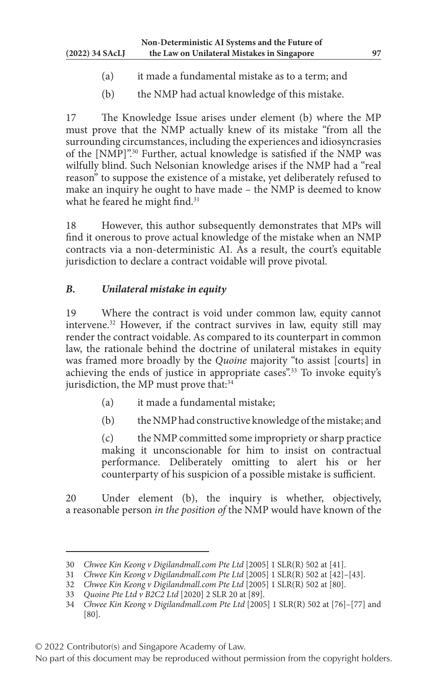- (a) it made a fundamental mistake as to a term; and
- (b) the NMP had actual knowledge of this mistake.

17 The Knowledge Issue arises under element (b) where the MP must prove that the NMP actually knew of its mistake "from all the surrounding circumstances, including the experiences and idiosyncrasies of the [NMP]".30 Further, actual knowledge is satisfied if the NMP was wilfully blind. Such Nelsonian knowledge arises if the NMP had a "real reason" to suppose the existence of a mistake, yet deliberately refused to make an inquiry he ought to have made – the NMP is deemed to know what he feared he might find.<sup>31</sup>

18 However, this author subsequently demonstrates that MPs will find it onerous to prove actual knowledge of the mistake when an NMP contracts via a non-deterministic AI. As a result, the court's equitable jurisdiction to declare a contract voidable will prove pivotal.

### *B. Unilateral mistake in equity*

19 Where the contract is void under common law, equity cannot intervene.32 However, if the contract survives in law, equity still may render the contract voidable. As compared to its counterpart in common law, the rationale behind the doctrine of unilateral mistakes in equity was framed more broadly by the *Quoine* majority "to assist [courts] in achieving the ends of justice in appropriate cases".<sup>33</sup> To invoke equity's jurisdiction, the MP must prove that:<sup>34</sup>

- (a) it made a fundamental mistake;
- (b) the NMP had constructive knowledge of the mistake; and

(c) the NMP committed some impropriety or sharp practice making it unconscionable for him to insist on contractual performance. Deliberately omitting to alert his or her counterparty of his suspicion of a possible mistake is sufficient.

20 Under element (b), the inquiry is whether, objectively, a reasonable person *in the position of* the NMP would have known of the

<sup>30</sup> *Chwee Kin Keong v Digilandmall.com Pte Ltd* [2005] 1 SLR(R) 502 at [41].

<sup>31</sup> *Chwee Kin Keong v Digilandmall.com Pte Ltd* [2005] 1 SLR(R) 502 at [42]–[43].

<sup>32</sup> *Chwee Kin Keong v Digilandmall.com Pte Ltd* [2005] 1 SLR(R) 502 at [80].

<sup>33</sup> *Quoine Pte Ltd v B2C2 Ltd* [2020] 2 SLR 20 at [89].

<sup>34</sup> *Chwee Kin Keong v Digilandmall.com Pte Ltd* [2005] 1 SLR(R) 502 at [76]–[77] and [80].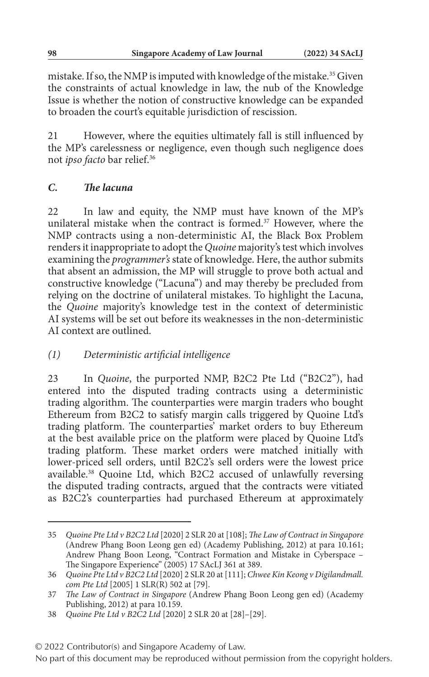mistake. If so, the NMP is imputed with knowledge of the mistake.<sup>35</sup> Given the constraints of actual knowledge in law, the nub of the Knowledge Issue is whether the notion of constructive knowledge can be expanded to broaden the court's equitable jurisdiction of rescission.

21 However, where the equities ultimately fall is still influenced by the MP's carelessness or negligence, even though such negligence does not *ipso facto* bar relief.36

### *C. The lacuna*

22 In law and equity, the NMP must have known of the MP's unilateral mistake when the contract is formed.<sup>37</sup> However, where the NMP contracts using a non-deterministic AI, the Black Box Problem renders it inappropriate to adopt the *Quoine* majority's test which involves examining the *programmer's* state of knowledge. Here, the author submits that absent an admission, the MP will struggle to prove both actual and constructive knowledge ("Lacuna") and may thereby be precluded from relying on the doctrine of unilateral mistakes. To highlight the Lacuna, the *Quoine* majority's knowledge test in the context of deterministic AI systems will be set out before its weaknesses in the non-deterministic AI context are outlined.

### *(1) Deterministic artificial intelligence*

23 In *Quoine*, the purported NMP, B2C2 Pte Ltd ("B2C2"), had entered into the disputed trading contracts using a deterministic trading algorithm. The counterparties were margin traders who bought Ethereum from B2C2 to satisfy margin calls triggered by Quoine Ltd's trading platform. The counterparties' market orders to buy Ethereum at the best available price on the platform were placed by Quoine Ltd's trading platform. These market orders were matched initially with lower-priced sell orders, until B2C2's sell orders were the lowest price available.<sup>38</sup> Quoine Ltd, which B2C2 accused of unlawfully reversing the disputed trading contracts, argued that the contracts were vitiated as B2C2's counterparties had purchased Ethereum at approximately

<sup>35</sup> *Quoine Pte Ltd v B2C2 Ltd* [2020] 2 SLR 20 at [108]; *The Law of Contract in Singapore* (Andrew Phang Boon Leong gen ed) (Academy Publishing, 2012) at para 10.161; Andrew Phang Boon Leong, "Contract Formation and Mistake in Cyberspace – The Singapore Experience" (2005) 17 SAcLJ 361 at 389.

<sup>36</sup> *Quoine Pte Ltd v B2C2 Ltd* [2020] 2 SLR 20 at [111]; *Chwee Kin Keong v Digilandmall. com Pte Ltd* [2005] 1 SLR(R) 502 at [79].

<sup>37</sup> *The Law of Contract in Singapore* (Andrew Phang Boon Leong gen ed) (Academy Publishing, 2012) at para 10.159.

<sup>38</sup> *Quoine Pte Ltd v B2C2 Ltd* [2020] 2 SLR 20 at [28]–[29].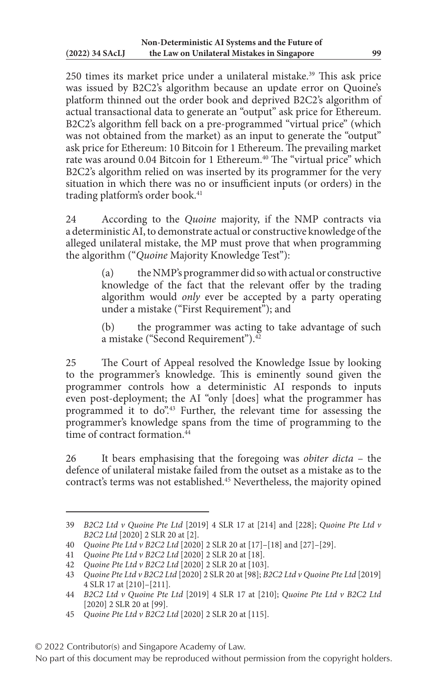250 times its market price under a unilateral mistake.<sup>39</sup> This ask price was issued by B2C2's algorithm because an update error on Quoine's platform thinned out the order book and deprived B2C2's algorithm of actual transactional data to generate an "output" ask price for Ethereum. B2C2's algorithm fell back on a pre-programmed "virtual price" (which was not obtained from the market) as an input to generate the "output" ask price for Ethereum: 10 Bitcoin for 1 Ethereum. The prevailing market rate was around 0.04 Bitcoin for 1 Ethereum.<sup>40</sup> The "virtual price" which B2C2's algorithm relied on was inserted by its programmer for the very situation in which there was no or insufficient inputs (or orders) in the trading platform's order book.<sup>41</sup>

24 According to the *Quoine* majority, if the NMP contracts via a deterministic AI, to demonstrate actual or constructive knowledge of the alleged unilateral mistake, the MP must prove that when programming the algorithm ("*Quoine* Majority Knowledge Test"):

> (a) the NMP's programmer did so with actual or constructive knowledge of the fact that the relevant offer by the trading algorithm would *only* ever be accepted by a party operating under a mistake ("First Requirement"); and

> (b) the programmer was acting to take advantage of such a mistake ("Second Requirement").<sup>42</sup>

25 The Court of Appeal resolved the Knowledge Issue by looking to the programmer's knowledge. This is eminently sound given the programmer controls how a deterministic AI responds to inputs even post-deployment; the AI "only [does] what the programmer has programmed it to do".43 Further, the relevant time for assessing the programmer's knowledge spans from the time of programming to the time of contract formation  $\frac{44}{14}$ 

26 It bears emphasising that the foregoing was *obiter dicta* – the defence of unilateral mistake failed from the outset as a mistake as to the contract's terms was not established.45 Nevertheless, the majority opined

<sup>39</sup> *B2C2 Ltd v Quoine Pte Ltd* [2019] 4 SLR 17 at [214] and [228]; *Quoine Pte Ltd v B2C2 Ltd* [2020] 2 SLR 20 at [2].

<sup>40</sup> *Quoine Pte Ltd v B2C2 Ltd* [2020] 2 SLR 20 at [17]–[18] and [27]–[29].

<sup>41</sup> *Quoine Pte Ltd v B2C2 Ltd* [2020] 2 SLR 20 at [18].

<sup>42</sup> *Quoine Pte Ltd v B2C2 Ltd* [2020] 2 SLR 20 at [103].

<sup>43</sup> *Quoine Pte Ltd v B2C2 Ltd* [2020] 2 SLR 20 at [98]; *B2C2 Ltd v Quoine Pte Ltd* [2019] 4 SLR 17 at [210]–[211].

<sup>44</sup> *B2C2 Ltd v Quoine Pte Ltd* [2019] 4 SLR 17 at [210]; *Quoine Pte Ltd v B2C2 Ltd* [2020] 2 SLR 20 at [99].

<sup>45</sup> *Quoine Pte Ltd v B2C2 Ltd* [2020] 2 SLR 20 at [115].

<sup>© 2022</sup> Contributor(s) and Singapore Academy of Law.

No part of this document may be reproduced without permission from the copyright holders.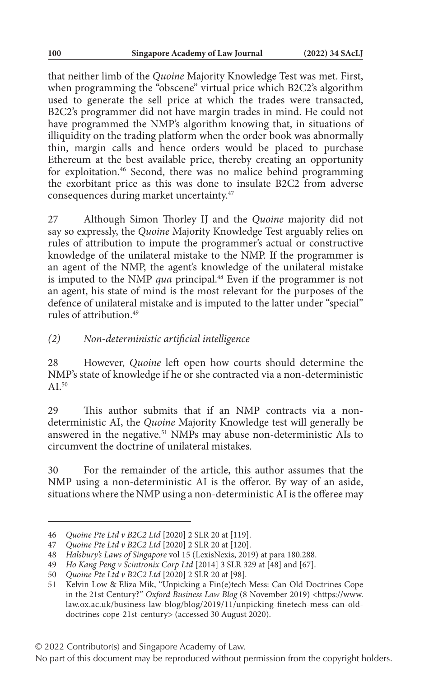that neither limb of the *Quoine* Majority Knowledge Test was met. First, when programming the "obscene" virtual price which B2C2's algorithm used to generate the sell price at which the trades were transacted, B2C2's programmer did not have margin trades in mind. He could not have programmed the NMP's algorithm knowing that, in situations of illiquidity on the trading platform when the order book was abnormally thin, margin calls and hence orders would be placed to purchase Ethereum at the best available price, thereby creating an opportunity for exploitation.46 Second, there was no malice behind programming the exorbitant price as this was done to insulate B2C2 from adverse consequences during market uncertainty.47

27 Although Simon Thorley IJ and the *Quoine* majority did not say so expressly, the *Quoine* Majority Knowledge Test arguably relies on rules of attribution to impute the programmer's actual or constructive knowledge of the unilateral mistake to the NMP. If the programmer is an agent of the NMP, the agent's knowledge of the unilateral mistake is imputed to the NMP *qua* principal.<sup>48</sup> Even if the programmer is not an agent, his state of mind is the most relevant for the purposes of the defence of unilateral mistake and is imputed to the latter under "special" rules of attribution.49

### *(2) Non-deterministic artificial intelligence*

28 However, *Quoine* left open how courts should determine the NMP's state of knowledge if he or she contracted via a non-deterministic A<sub>I</sub> $50$ 

29 This author submits that if an NMP contracts via a nondeterministic AI, the *Quoine* Majority Knowledge test will generally be answered in the negative.51 NMPs may abuse non-deterministic AIs to circumvent the doctrine of unilateral mistakes.

30 For the remainder of the article, this author assumes that the NMP using a non-deterministic AI is the offeror. By way of an aside, situations where the NMP using a non-deterministic AI is the offeree may

<sup>46</sup> *Quoine Pte Ltd v B2C2 Ltd* [2020] 2 SLR 20 at [119].

<sup>47</sup> *Quoine Pte Ltd v B2C2 Ltd* [2020] 2 SLR 20 at [120].

<sup>48</sup> *Halsbury's Laws of Singapore* vol 15 (LexisNexis, 2019) at para 180.288.

<sup>49</sup> *Ho Kang Peng v Scintronix Corp Ltd* [2014] 3 SLR 329 at [48] and [67].

<sup>50</sup> *Quoine Pte Ltd v B2C2 Ltd* [2020] 2 SLR 20 at [98].

<sup>51</sup> Kelvin Low & Eliza Mik, "Unpicking a Fin(e)tech Mess: Can Old Doctrines Cope in the 21st Century?" *Oxford Business Law Blog* (8 November 2019) <https://www. law.ox.ac.uk/business-law-blog/blog/2019/11/unpicking-finetech-mess-can-olddoctrines-cope-21st-century> (accessed 30 August 2020).

<sup>© 2022</sup> Contributor(s) and Singapore Academy of Law.

No part of this document may be reproduced without permission from the copyright holders.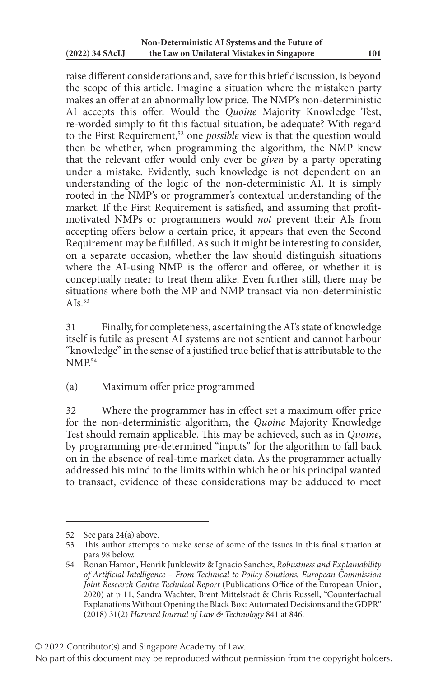raise different considerations and, save for this brief discussion, is beyond the scope of this article. Imagine a situation where the mistaken party makes an offer at an abnormally low price. The NMP's non-deterministic AI accepts this offer. Would the *Quoine* Majority Knowledge Test, re-worded simply to fit this factual situation, be adequate? With regard to the First Requirement,<sup>52</sup> one *possible* view is that the question would then be whether, when programming the algorithm, the NMP knew that the relevant offer would only ever be *given* by a party operating under a mistake. Evidently, such knowledge is not dependent on an understanding of the logic of the non-deterministic AI. It is simply rooted in the NMP's or programmer's contextual understanding of the market. If the First Requirement is satisfied, and assuming that profitmotivated NMPs or programmers would *not* prevent their AIs from accepting offers below a certain price, it appears that even the Second Requirement may be fulfilled. As such it might be interesting to consider, on a separate occasion, whether the law should distinguish situations where the AI-using NMP is the offeror and offeree, or whether it is conceptually neater to treat them alike. Even further still, there may be situations where both the MP and NMP transact via non-deterministic A<sub>Is</sub> $53$ 

31 Finally, for completeness, ascertaining the AI's state of knowledge itself is futile as present AI systems are not sentient and cannot harbour "knowledge" in the sense of a justified true belief that is attributable to the NMP<sup>54</sup>

(a) Maximum offer price programmed

32 Where the programmer has in effect set a maximum offer price for the non-deterministic algorithm, the *Quoine* Majority Knowledge Test should remain applicable. This may be achieved, such as in *Quoine*, by programming pre-determined "inputs" for the algorithm to fall back on in the absence of real-time market data. As the programmer actually addressed his mind to the limits within which he or his principal wanted to transact, evidence of these considerations may be adduced to meet

<sup>52</sup> See para 24(a) above.

<sup>53</sup> This author attempts to make sense of some of the issues in this final situation at para 98 below.

<sup>54</sup> Ronan Hamon, Henrik Junklewitz & Ignacio Sanchez, *Robustness and Explainability of Artificial Intelligence – From Technical to Policy Solutions, European Commission Joint Research Centre Technical Report* (Publications Office of the European Union, 2020) at p 11; Sandra Wachter, Brent Mittelstadt & Chris Russell, "Counterfactual Explanations Without Opening the Black Box: Automated Decisions and the GDPR" (2018) 31(2) *Harvard Journal of Law & Technology* 841 at 846.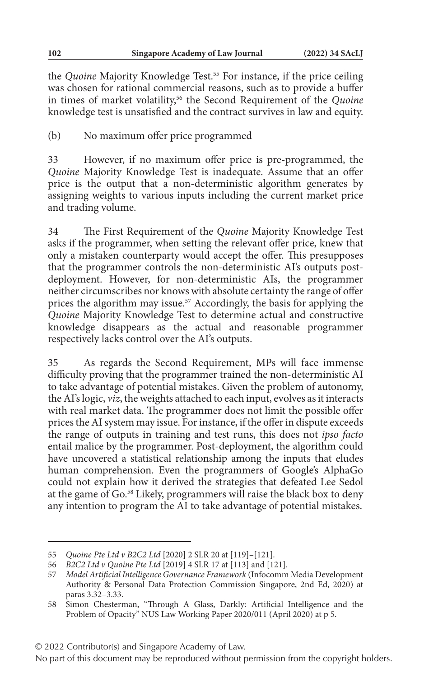the *Quoine* Majority Knowledge Test.<sup>55</sup> For instance, if the price ceiling was chosen for rational commercial reasons, such as to provide a buffer in times of market volatility,56 the Second Requirement of the *Quoine* knowledge test is unsatisfied and the contract survives in law and equity.

(b) No maximum offer price programmed

33 However, if no maximum offer price is pre-programmed, the *Quoine* Majority Knowledge Test is inadequate. Assume that an offer price is the output that a non-deterministic algorithm generates by assigning weights to various inputs including the current market price and trading volume.

34 The First Requirement of the *Quoine* Majority Knowledge Test asks if the programmer, when setting the relevant offer price, knew that only a mistaken counterparty would accept the offer. This presupposes that the programmer controls the non-deterministic AI's outputs postdeployment. However, for non-deterministic AIs, the programmer neither circumscribes nor knows with absolute certainty the range of offer prices the algorithm may issue.57 Accordingly, the basis for applying the *Quoine* Majority Knowledge Test to determine actual and constructive knowledge disappears as the actual and reasonable programmer respectively lacks control over the AI's outputs.

35 As regards the Second Requirement, MPs will face immense difficulty proving that the programmer trained the non-deterministic AI to take advantage of potential mistakes. Given the problem of autonomy, the AI's logic, *viz*, the weights attached to each input, evolves as it interacts with real market data. The programmer does not limit the possible offer prices the AI system may issue. For instance, if the offer in dispute exceeds the range of outputs in training and test runs, this does not *ipso facto* entail malice by the programmer. Post-deployment, the algorithm could have uncovered a statistical relationship among the inputs that eludes human comprehension. Even the programmers of Google's AlphaGo could not explain how it derived the strategies that defeated Lee Sedol at the game of Go.58 Likely, programmers will raise the black box to deny any intention to program the AI to take advantage of potential mistakes.

© 2022 Contributor(s) and Singapore Academy of Law.

<sup>55</sup> *Quoine Pte Ltd v B2C2 Ltd* [2020] 2 SLR 20 at [119]–[121].

<sup>56</sup> *B2C2 Ltd v Quoine Pte Ltd* [2019] 4 SLR 17 at [113] and [121].

<sup>57</sup> *Model Artificial Intelligence Governance Framework* (Infocomm Media Development Authority & Personal Data Protection Commission Singapore, 2nd Ed, 2020) at paras 3.32–3.33.

<sup>58</sup> Simon Chesterman, "Through A Glass, Darkly: Artificial Intelligence and the Problem of Opacity" NUS Law Working Paper 2020/011 (April 2020) at p 5.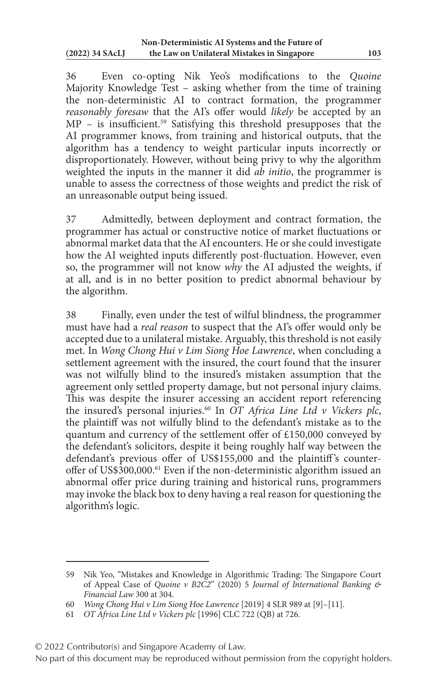36 Even co-opting Nik Yeo's modifications to the *Quoine* Majority Knowledge Test – asking whether from the time of training the non-deterministic AI to contract formation, the programmer *reasonably foresaw* that the AI's offer would *likely* be accepted by an MP – is insufficient.<sup>59</sup> Satisfying this threshold presupposes that the AI programmer knows, from training and historical outputs, that the algorithm has a tendency to weight particular inputs incorrectly or disproportionately. However, without being privy to why the algorithm weighted the inputs in the manner it did *ab initio*, the programmer is unable to assess the correctness of those weights and predict the risk of an unreasonable output being issued.

37 Admittedly, between deployment and contract formation, the programmer has actual or constructive notice of market fluctuations or abnormal market data that the AI encounters. He or she could investigate how the AI weighted inputs differently post-fluctuation. However, even so, the programmer will not know *why* the AI adjusted the weights, if at all, and is in no better position to predict abnormal behaviour by the algorithm.

38 Finally, even under the test of wilful blindness, the programmer must have had a *real reason* to suspect that the AI's offer would only be accepted due to a unilateral mistake. Arguably, this threshold is not easily met. In *Wong Chong Hui v Lim Siong Hoe Lawrence*, when concluding a settlement agreement with the insured, the court found that the insurer was not wilfully blind to the insured's mistaken assumption that the agreement only settled property damage, but not personal injury claims. This was despite the insurer accessing an accident report referencing the insured's personal injuries.60 In *OT Africa Line Ltd v Vickers plc*, the plaintiff was not wilfully blind to the defendant's mistake as to the quantum and currency of the settlement offer of £150,000 conveyed by the defendant's solicitors, despite it being roughly half way between the defendant's previous offer of US\$155,000 and the plaintiff 's counteroffer of US\$300,000.61 Even if the non-deterministic algorithm issued an abnormal offer price during training and historical runs, programmers may invoke the black box to deny having a real reason for questioning the algorithm's logic.

© 2022 Contributor(s) and Singapore Academy of Law.

<sup>59</sup> Nik Yeo, "Mistakes and Knowledge in Algorithmic Trading: The Singapore Court of Appeal Case of *Quoine v B2C2*" (2020) 5 *Journal of International Banking & Financial Law* 300 at 304.

<sup>60</sup> *Wong Chong Hui v Lim Siong Hoe Lawrence* [2019] 4 SLR 989 at [9]–[11].

<sup>61</sup> *OT Africa Line Ltd v Vickers plc* [1996] CLC 722 (QB) at 726.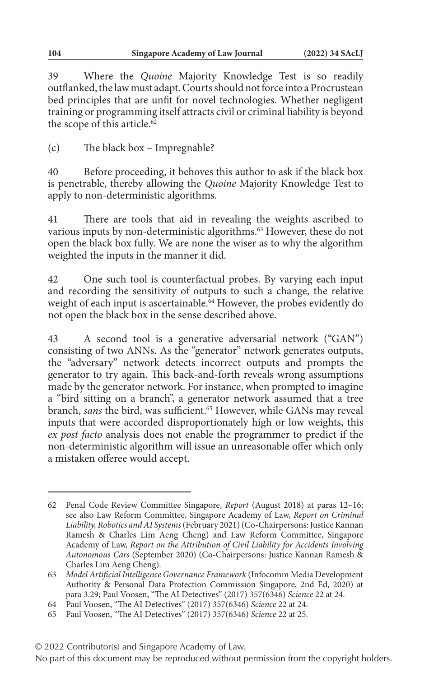39 Where the *Quoine* Majority Knowledge Test is so readily outflanked, the law must adapt. Courts should not force into a Procrustean bed principles that are unfit for novel technologies. Whether negligent training or programming itself attracts civil or criminal liability is beyond the scope of this article.<sup>62</sup>

(c) The black box – Impregnable?

40 Before proceeding, it behoves this author to ask if the black box is penetrable, thereby allowing the *Quoine* Majority Knowledge Test to apply to non-deterministic algorithms.

41 There are tools that aid in revealing the weights ascribed to various inputs by non-deterministic algorithms.<sup>63</sup> However, these do not open the black box fully. We are none the wiser as to why the algorithm weighted the inputs in the manner it did.

42 One such tool is counterfactual probes. By varying each input and recording the sensitivity of outputs to such a change, the relative weight of each input is ascertainable.<sup>64</sup> However, the probes evidently do not open the black box in the sense described above.

43 A second tool is a generative adversarial network ("GAN") consisting of two ANNs. As the "generator" network generates outputs, the "adversary" network detects incorrect outputs and prompts the generator to try again. This back-and-forth reveals wrong assumptions made by the generator network. For instance, when prompted to imagine a "bird sitting on a branch", a generator network assumed that a tree branch, *sans* the bird, was sufficient.<sup>65</sup> However, while GANs may reveal inputs that were accorded disproportionately high or low weights, this *ex post facto* analysis does not enable the programmer to predict if the non-deterministic algorithm will issue an unreasonable offer which only a mistaken offeree would accept.

<sup>62</sup> Penal Code Review Committee Singapore, *Report* (August 2018) at paras 12–16; see also Law Reform Committee, Singapore Academy of Law, *Report on Criminal Liability, Robotics and AI Systems* (February 2021) (Co-Chairpersons: Justice Kannan Ramesh & Charles Lim Aeng Cheng) and Law Reform Committee, Singapore Academy of Law, *Report on the Attribution of Civil Liability for Accidents Involving Autonomous Cars* (September 2020) (Co-Chairpersons: Justice Kannan Ramesh & Charles Lim Aeng Cheng).

<sup>63</sup> *Model Artificial Intelligence Governance Framework* (Infocomm Media Development Authority & Personal Data Protection Commission Singapore, 2nd Ed, 2020) at para 3.29; Paul Voosen, "The AI Detectives" (2017) 357(6346) *Science* 22 at 24.

<sup>64</sup> Paul Voosen, "The AI Detectives" (2017) 357(6346) *Science* 22 at 24.

<sup>65</sup> Paul Voosen, "The AI Detectives" (2017) 357(6346) *Science* 22 at 25.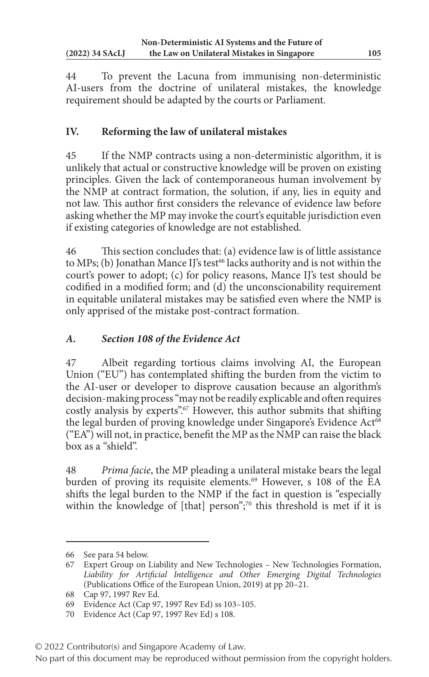44 To prevent the Lacuna from immunising non-deterministic AI-users from the doctrine of unilateral mistakes, the knowledge requirement should be adapted by the courts or Parliament.

# **IV. Reforming the law of unilateral mistakes**

45 If the NMP contracts using a non-deterministic algorithm, it is unlikely that actual or constructive knowledge will be proven on existing principles. Given the lack of contemporaneous human involvement by the NMP at contract formation, the solution, if any, lies in equity and not law. This author first considers the relevance of evidence law before asking whether the MP may invoke the court's equitable jurisdiction even if existing categories of knowledge are not established.

46 This section concludes that: (a) evidence law is of little assistance to MPs; (b) Jonathan Mance IJ's test<sup>66</sup> lacks authority and is not within the court's power to adopt; (c) for policy reasons, Mance IJ's test should be codified in a modified form; and (d) the unconscionability requirement in equitable unilateral mistakes may be satisfied even where the NMP is only apprised of the mistake post-contract formation.

# *A. Section 108 of the Evidence Act*

47 Albeit regarding tortious claims involving AI, the European Union ("EU") has contemplated shifting the burden from the victim to the AI-user or developer to disprove causation because an algorithm's decision-making process "may not be readily explicable and often requires costly analysis by experts".<sup>67</sup> However, this author submits that shifting the legal burden of proving knowledge under Singapore's Evidence Act<sup>68</sup> ("EA") will not, in practice, benefit the MP as the NMP can raise the black box as a "shield".

48 *Prima facie*, the MP pleading a unilateral mistake bears the legal burden of proving its requisite elements.<sup>69</sup> However, s 108 of the EA shifts the legal burden to the NMP if the fact in question is "especially within the knowledge of [that] person";<sup>70</sup> this threshold is met if it is

<sup>66</sup> See para 54 below.

<sup>67</sup> Expert Group on Liability and New Technologies – New Technologies Formation, *Liability for Artificial Intelligence and Other Emerging Digital Technologies* (Publications Office of the European Union, 2019) at pp 20–21.

<sup>68</sup> Cap 97, 1997 Rev Ed.

<sup>69</sup> Evidence Act (Cap 97, 1997 Rev Ed) ss 103–105.

<sup>70</sup> Evidence Act (Cap 97, 1997 Rev Ed) s 108.

<sup>© 2022</sup> Contributor(s) and Singapore Academy of Law.

No part of this document may be reproduced without permission from the copyright holders.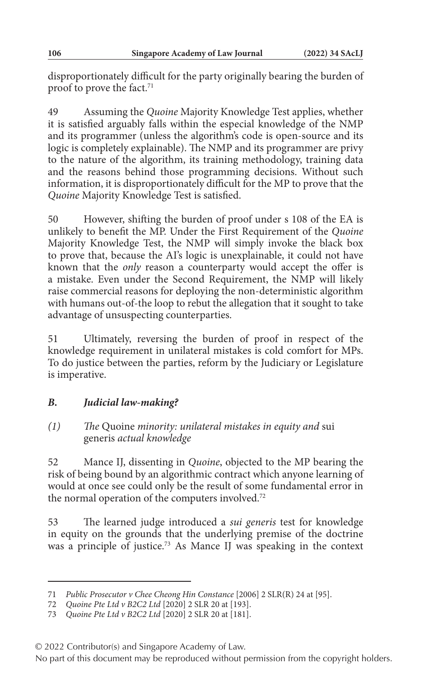disproportionately difficult for the party originally bearing the burden of proof to prove the fact.<sup>71</sup>

49 Assuming the *Quoine* Majority Knowledge Test applies, whether it is satisfied arguably falls within the especial knowledge of the NMP and its programmer (unless the algorithm's code is open-source and its logic is completely explainable). The NMP and its programmer are privy to the nature of the algorithm, its training methodology, training data and the reasons behind those programming decisions. Without such information, it is disproportionately difficult for the MP to prove that the *Quoine* Majority Knowledge Test is satisfied.

50 However, shifting the burden of proof under s 108 of the EA is unlikely to benefit the MP. Under the First Requirement of the *Quoine* Majority Knowledge Test, the NMP will simply invoke the black box to prove that, because the AI's logic is unexplainable, it could not have known that the *only* reason a counterparty would accept the offer is a mistake. Even under the Second Requirement, the NMP will likely raise commercial reasons for deploying the non-deterministic algorithm with humans out-of-the loop to rebut the allegation that it sought to take advantage of unsuspecting counterparties.

51 Ultimately, reversing the burden of proof in respect of the knowledge requirement in unilateral mistakes is cold comfort for MPs. To do justice between the parties, reform by the Judiciary or Legislature is imperative.

## *B. Judicial law-making?*

### *(1) The* Quoine *minority: unilateral mistakes in equity and* sui generis *actual knowledge*

52 Mance IJ, dissenting in *Quoine*, objected to the MP bearing the risk of being bound by an algorithmic contract which anyone learning of would at once see could only be the result of some fundamental error in the normal operation of the computers involved.<sup>72</sup>

53 The learned judge introduced a *sui generis* test for knowledge in equity on the grounds that the underlying premise of the doctrine was a principle of justice.<sup>73</sup> As Mance IJ was speaking in the context

<sup>71</sup> *Public Prosecutor v Chee Cheong Hin Constance* [2006] 2 SLR(R) 24 at [95].

<sup>72</sup> *Quoine Pte Ltd v B2C2 Ltd* [2020] 2 SLR 20 at [193].

<sup>73</sup> *Quoine Pte Ltd v B2C2 Ltd* [2020] 2 SLR 20 at [181].

<sup>© 2022</sup> Contributor(s) and Singapore Academy of Law.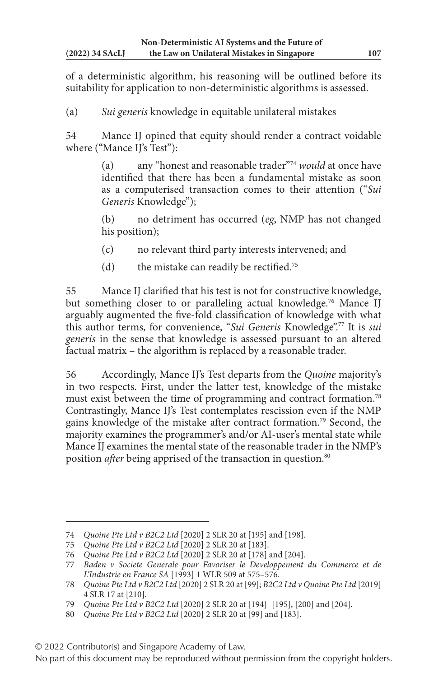of a deterministic algorithm, his reasoning will be outlined before its suitability for application to non-deterministic algorithms is assessed.

(a) *Sui generis* knowledge in equitable unilateral mistakes

54 Mance IJ opined that equity should render a contract voidable where ("Mance IJ's Test"):

> (a) any "honest and reasonable trader"74 *would* at once have identified that there has been a fundamental mistake as soon as a computerised transaction comes to their attention ("*Sui Generis* Knowledge");

> (b) no detriment has occurred (*eg*, NMP has not changed his position);

- (c) no relevant third party interests intervened; and
- (d) the mistake can readily be rectified.<sup>75</sup>

55 Mance IJ clarified that his test is not for constructive knowledge, but something closer to or paralleling actual knowledge.<sup>76</sup> Mance IJ arguably augmented the five-fold classification of knowledge with what this author terms, for convenience, "*Sui Generis* Knowledge".77 It is *sui generis* in the sense that knowledge is assessed pursuant to an altered factual matrix – the algorithm is replaced by a reasonable trader.

56 Accordingly, Mance IJ's Test departs from the *Quoine* majority's in two respects. First, under the latter test, knowledge of the mistake must exist between the time of programming and contract formation.78 Contrastingly, Mance IJ's Test contemplates rescission even if the NMP gains knowledge of the mistake after contract formation.79 Second, the majority examines the programmer's and/or AI-user's mental state while Mance IJ examines the mental state of the reasonable trader in the NMP's position *after* being apprised of the transaction in question.<sup>80</sup>

<sup>74</sup> *Quoine Pte Ltd v B2C2 Ltd* [2020] 2 SLR 20 at [195] and [198].

<sup>75</sup> *Quoine Pte Ltd v B2C2 Ltd* [2020] 2 SLR 20 at [183].

<sup>76</sup> *Quoine Pte Ltd v B2C2 Ltd* [2020] 2 SLR 20 at [178] and [204].

<sup>77</sup> *Baden v Societe Generale pour Favoriser le Developpement du Commerce et de L'Industrie en France SA* [1993] 1 WLR 509 at 575–576.

<sup>78</sup> *Quoine Pte Ltd v B2C2 Ltd* [2020] 2 SLR 20 at [99]; *B2C2 Ltd v Quoine Pte Ltd* [2019] 4 SLR 17 at [210].

<sup>79</sup> *Quoine Pte Ltd v B2C2 Ltd* [2020] 2 SLR 20 at [194]–[195], [200] and [204].

<sup>80</sup> *Quoine Pte Ltd v B2C2 Ltd* [2020] 2 SLR 20 at [99] and [183].

<sup>© 2022</sup> Contributor(s) and Singapore Academy of Law.

No part of this document may be reproduced without permission from the copyright holders.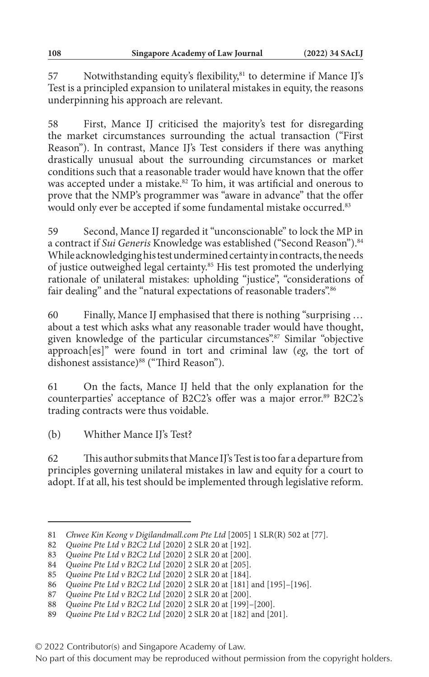57 Notwithstanding equity's flexibility,<sup>81</sup> to determine if Mance IJ's Test is a principled expansion to unilateral mistakes in equity, the reasons underpinning his approach are relevant.

58 First, Mance IJ criticised the majority's test for disregarding the market circumstances surrounding the actual transaction ("First Reason"). In contrast, Mance IJ's Test considers if there was anything drastically unusual about the surrounding circumstances or market conditions such that a reasonable trader would have known that the offer was accepted under a mistake.<sup>82</sup> To him, it was artificial and onerous to prove that the NMP's programmer was "aware in advance" that the offer would only ever be accepted if some fundamental mistake occurred.<sup>83</sup>

59 Second, Mance IJ regarded it "unconscionable" to lock the MP in a contract if *Sui Generis* Knowledge was established ("Second Reason").<sup>84</sup> While acknowledging his test undermined certainty in contracts, the needs of justice outweighed legal certainty.85 His test promoted the underlying rationale of unilateral mistakes: upholding "justice", "considerations of fair dealing" and the "natural expectations of reasonable traders".<sup>86</sup>

60 Finally, Mance IJ emphasised that there is nothing "surprising … about a test which asks what any reasonable trader would have thought, given knowledge of the particular circumstances".<sup>87</sup> Similar "objective approach[es]" were found in tort and criminal law (*eg*, the tort of dishonest assistance)<sup>88</sup> ("Third Reason").

61 On the facts, Mance IJ held that the only explanation for the counterparties' acceptance of B2C2's offer was a major error.<sup>89</sup> B2C2's trading contracts were thus voidable.

(b) Whither Mance IJ's Test?

62 This author submits that Mance IJ's Test is too far a departure from principles governing unilateral mistakes in law and equity for a court to adopt. If at all, his test should be implemented through legislative reform.

<sup>81</sup> *Chwee Kin Keong v Digilandmall.com Pte Ltd* [2005] 1 SLR(R) 502 at [77].

<sup>82</sup> *Quoine Pte Ltd v B2C2 Ltd* [2020] 2 SLR 20 at [192].

<sup>83</sup> *Quoine Pte Ltd v B2C2 Ltd* [2020] 2 SLR 20 at [200].

<sup>84</sup> *Quoine Pte Ltd v B2C2 Ltd* [2020] 2 SLR 20 at [205].

<sup>85</sup> *Quoine Pte Ltd v B2C2 Ltd* [2020] 2 SLR 20 at [184].

<sup>86</sup> *Quoine Pte Ltd v B2C2 Ltd* [2020] 2 SLR 20 at [181] and [195]–[196].

<sup>87</sup> *Quoine Pte Ltd v B2C2 Ltd* [2020] 2 SLR 20 at [200].

<sup>88</sup> *Quoine Pte Ltd v B2C2 Ltd* [2020] 2 SLR 20 at [199]–[200].

<sup>89</sup> *Quoine Pte Ltd v B2C2 Ltd* [2020] 2 SLR 20 at [182] and [201].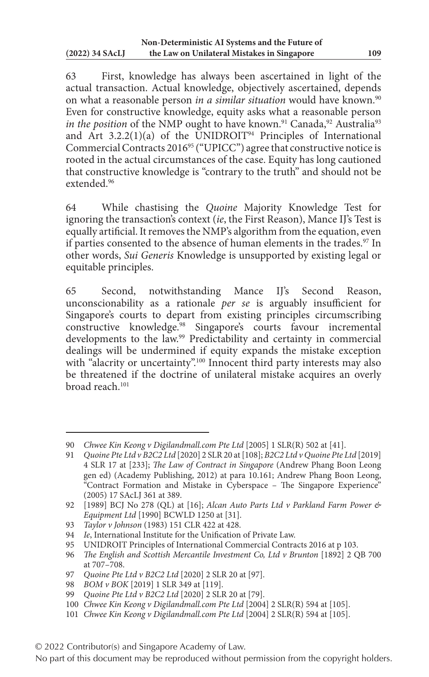63 First, knowledge has always been ascertained in light of the actual transaction. Actual knowledge, objectively ascertained, depends on what a reasonable person *in a similar situation* would have known.<sup>90</sup> Even for constructive knowledge, equity asks what a reasonable person *in the position* of the NMP ought to have known.<sup>91</sup> Canada,<sup>92</sup> Australia<sup>93</sup> and Art  $3.2.2(1)(a)$  of the UNIDROIT<sup>94</sup> Principles of International Commercial Contracts 2016<sup>95</sup> ("UPICC") agree that constructive notice is rooted in the actual circumstances of the case. Equity has long cautioned that constructive knowledge is "contrary to the truth" and should not be extended<sup>96</sup>

64 While chastising the *Quoine* Majority Knowledge Test for ignoring the transaction's context (*ie*, the First Reason), Mance IJ's Test is equally artificial. It removes the NMP's algorithm from the equation, even if parties consented to the absence of human elements in the trades.<sup>97</sup> In other words, *Sui Generis* Knowledge is unsupported by existing legal or equitable principles.

65 Second, notwithstanding Mance IJ's Second Reason, unconscionability as a rationale *per se* is arguably insufficient for Singapore's courts to depart from existing principles circumscribing constructive knowledge.98 Singapore's courts favour incremental developments to the law.99 Predictability and certainty in commercial dealings will be undermined if equity expands the mistake exception with "alacrity or uncertainty".<sup>100</sup> Innocent third party interests may also be threatened if the doctrine of unilateral mistake acquires an overly broad reach<sup>101</sup>

<sup>90</sup> *Chwee Kin Keong v Digilandmall.com Pte Ltd* [2005] 1 SLR(R) 502 at [41].

<sup>91</sup> *Quoine Pte Ltd v B2C2 Ltd* [2020] 2 SLR 20 at [108]; *B2C2 Ltd v Quoine Pte Ltd* [2019] 4 SLR 17 at [233]; *The Law of Contract in Singapore* (Andrew Phang Boon Leong gen ed) (Academy Publishing, 2012) at para 10.161; Andrew Phang Boon Leong, "Contract Formation and Mistake in Cyberspace – The Singapore Experience" (2005) 17 SAcLJ 361 at 389.

<sup>92</sup> [1989] BCJ No 278 (QL) at [16]; *Alcan Auto Parts Ltd v Parkland Farm Power & Equipment Ltd* [1990] BCWLD 1250 at [31].

<sup>93</sup> *Taylor v Johnson* (1983) 151 CLR 422 at 428.

<sup>94</sup> *Ie*, International Institute for the Unification of Private Law.

<sup>95</sup> UNIDROIT Principles of International Commercial Contracts 2016 at p 103.

<sup>96</sup> *The English and Scottish Mercantile Investment Co, Ltd v Brunton* [1892] 2 QB 700 at 707–708.

<sup>97</sup> *Quoine Pte Ltd v B2C2 Ltd* [2020] 2 SLR 20 at [97].

<sup>98</sup> *BOM v BOK* [2019] 1 SLR 349 at [119].

<sup>99</sup> *Quoine Pte Ltd v B2C2 Ltd* [2020] 2 SLR 20 at [79].

<sup>100</sup> *Chwee Kin Keong v Digilandmall.com Pte Ltd* [2004] 2 SLR(R) 594 at [105].

<sup>101</sup> *Chwee Kin Keong v Digilandmall.com Pte Ltd* [2004] 2 SLR(R) 594 at [105].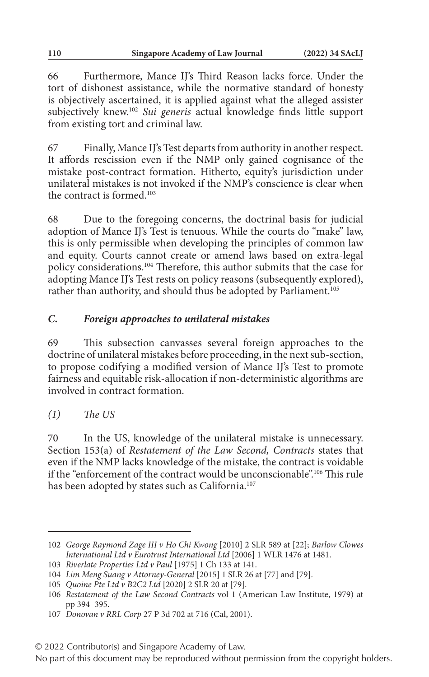66 Furthermore, Mance IJ's Third Reason lacks force. Under the tort of dishonest assistance, while the normative standard of honesty is objectively ascertained, it is applied against what the alleged assister subjectively knew.102 *Sui generis* actual knowledge finds little support from existing tort and criminal law.

67 Finally, Mance IJ's Test departs from authority in another respect. It affords rescission even if the NMP only gained cognisance of the mistake post-contract formation. Hitherto, equity's jurisdiction under unilateral mistakes is not invoked if the NMP's conscience is clear when the contract is formed.103

68 Due to the foregoing concerns, the doctrinal basis for judicial adoption of Mance IJ's Test is tenuous. While the courts do "make" law, this is only permissible when developing the principles of common law and equity. Courts cannot create or amend laws based on extra-legal policy considerations.104 Therefore, this author submits that the case for adopting Mance IJ's Test rests on policy reasons (subsequently explored), rather than authority, and should thus be adopted by Parliament.<sup>105</sup>

### *C. Foreign approaches to unilateral mistakes*

69 This subsection canvasses several foreign approaches to the doctrine of unilateral mistakes before proceeding, in the next sub-section, to propose codifying a modified version of Mance IJ's Test to promote fairness and equitable risk-allocation if non-deterministic algorithms are involved in contract formation.

*(1) The US*

70 In the US, knowledge of the unilateral mistake is unnecessary. Section 153(a) of *Restatement of the Law Second, Contracts* states that even if the NMP lacks knowledge of the mistake, the contract is voidable if the "enforcement of the contract would be unconscionable".106 This rule has been adopted by states such as California.<sup>107</sup>

<sup>102</sup> *George Raymond Zage III v Ho Chi Kwong* [2010] 2 SLR 589 at [22]; *Barlow Clowes International Ltd v Eurotrust International Ltd* [2006] 1 WLR 1476 at 1481.

<sup>103</sup> *Riverlate Properties Ltd v Paul* [1975] 1 Ch 133 at 141.

<sup>104</sup> *Lim Meng Suang v Attorney-General* [2015] 1 SLR 26 at [77] and [79].

<sup>105</sup> *Quoine Pte Ltd v B2C2 Ltd* [2020] 2 SLR 20 at [79].

<sup>106</sup> *Restatement of the Law Second Contracts* vol 1 (American Law Institute, 1979) at pp 394–395.

<sup>107</sup> *Donovan v RRL Corp* 27 P 3d 702 at 716 (Cal, 2001).

<sup>© 2022</sup> Contributor(s) and Singapore Academy of Law.

No part of this document may be reproduced without permission from the copyright holders.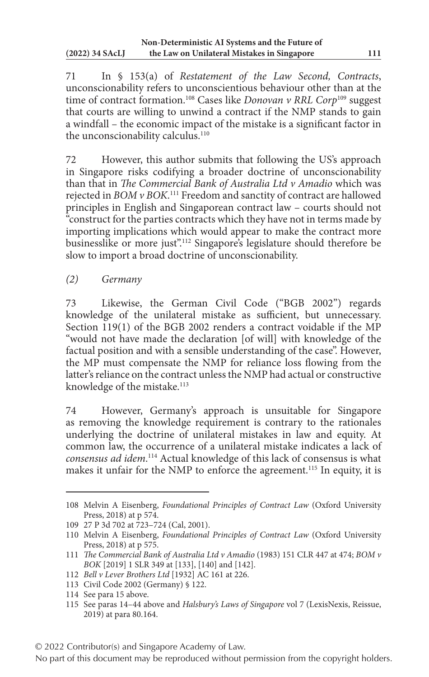71 In § 153(a) of *Restatement of the Law Second, Contracts*, unconscionability refers to unconscientious behaviour other than at the time of contract formation.108 Cases like *Donovan v RRL Corp*109 suggest that courts are willing to unwind a contract if the NMP stands to gain a windfall – the economic impact of the mistake is a significant factor in the unconscionability calculus.<sup>110</sup>

72 However, this author submits that following the US's approach in Singapore risks codifying a broader doctrine of unconscionability than that in *The Commercial Bank of Australia Ltd v Amadio* which was rejected in *BOM v BOK*. 111 Freedom and sanctity of contract are hallowed principles in English and Singaporean contract law – courts should not "construct for the parties contracts which they have not in terms made by importing implications which would appear to make the contract more businesslike or more just".<sup>112</sup> Singapore's legislature should therefore be slow to import a broad doctrine of unconscionability.

*(2) Germany*

73 Likewise, the German Civil Code ("BGB 2002") regards knowledge of the unilateral mistake as sufficient, but unnecessary. Section 119(1) of the BGB 2002 renders a contract voidable if the MP "would not have made the declaration [of will] with knowledge of the factual position and with a sensible understanding of the case". However, the MP must compensate the NMP for reliance loss flowing from the latter's reliance on the contract unless the NMP had actual or constructive knowledge of the mistake.<sup>113</sup>

74 However, Germany's approach is unsuitable for Singapore as removing the knowledge requirement is contrary to the rationales underlying the doctrine of unilateral mistakes in law and equity. At common law, the occurrence of a unilateral mistake indicates a lack of *consensus ad idem*. 114 Actual knowledge of this lack of consensus is what makes it unfair for the NMP to enforce the agreement.<sup>115</sup> In equity, it is

<sup>108</sup> Melvin A Eisenberg, *Foundational Principles of Contract Law* (Oxford University Press, 2018) at p 574.

<sup>109</sup> 27 P 3d 702 at 723–724 (Cal, 2001).

<sup>110</sup> Melvin A Eisenberg, *Foundational Principles of Contract Law* (Oxford University Press, 2018) at p 575.

<sup>111</sup> *The Commercial Bank of Australia Ltd v Amadio* (1983) 151 CLR 447 at 474; *BOM v BOK* [2019] 1 SLR 349 at [133], [140] and [142].

<sup>112</sup> *Bell v Lever Brothers Ltd* [1932] AC 161 at 226.

<sup>113</sup> Civil Code 2002 (Germany) § 122.

<sup>114</sup> See para 15 above.

<sup>115</sup> See paras 14–44 above and *Halsbury's Laws of Singapore* vol 7 (LexisNexis, Reissue, 2019) at para 80.164.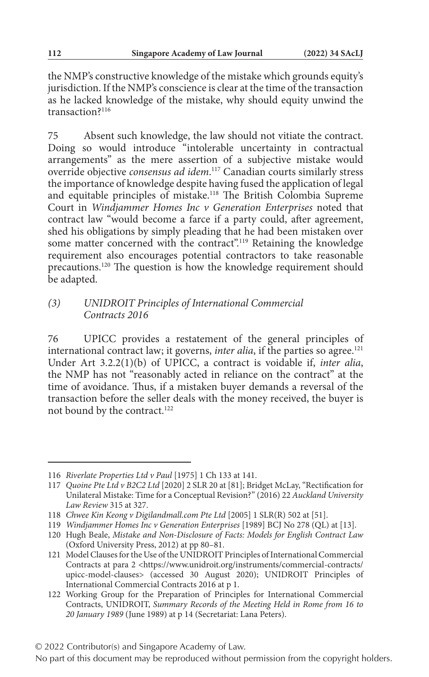the NMP's constructive knowledge of the mistake which grounds equity's jurisdiction. If the NMP's conscience is clear at the time of the transaction as he lacked knowledge of the mistake, why should equity unwind the transaction?<sup>116</sup>

75 Absent such knowledge, the law should not vitiate the contract. Doing so would introduce "intolerable uncertainty in contractual arrangements" as the mere assertion of a subjective mistake would override objective *consensus ad idem*. 117 Canadian courts similarly stress the importance of knowledge despite having fused the application of legal and equitable principles of mistake.118 The British Colombia Supreme Court in *Windjammer Homes Inc v Generation Enterprises* noted that contract law "would become a farce if a party could, after agreement, shed his obligations by simply pleading that he had been mistaken over some matter concerned with the contract".<sup>119</sup> Retaining the knowledge requirement also encourages potential contractors to take reasonable precautions.120 The question is how the knowledge requirement should be adapted.

### *(3) UNIDROIT Principles of International Commercial Contracts 2016*

76 UPICC provides a restatement of the general principles of international contract law; it governs, *inter alia*, if the parties so agree.<sup>121</sup> Under Art 3.2.2(1)(b) of UPICC, a contract is voidable if, *inter alia*, the NMP has not "reasonably acted in reliance on the contract" at the time of avoidance. Thus, if a mistaken buyer demands a reversal of the transaction before the seller deals with the money received, the buyer is not bound by the contract.<sup>122</sup>

<sup>116</sup> *Riverlate Properties Ltd v Paul* [1975] 1 Ch 133 at 141.

<sup>117</sup> *Quoine Pte Ltd v B2C2 Ltd* [2020] 2 SLR 20 at [81]; Bridget McLay, "Rectification for Unilateral Mistake: Time for a Conceptual Revision?" (2016) 22 *Auckland University Law Review* 315 at 327.

<sup>118</sup> *Chwee Kin Keong v Digilandmall.com Pte Ltd* [2005] 1 SLR(R) 502 at [51].

<sup>119</sup> *Windjammer Homes Inc v Generation Enterprises* [1989] BCJ No 278 (QL) at [13].

<sup>120</sup> Hugh Beale, *Mistake and Non-Disclosure of Facts: Models for English Contract Law* (Oxford University Press, 2012) at pp 80–81.

<sup>121</sup> Model Clauses for the Use of the UNIDROIT Principles of International Commercial Contracts at para 2 <https://www.unidroit.org/instruments/commercial-contracts/ upicc-model-clauses> (accessed 30 August 2020); UNIDROIT Principles of International Commercial Contracts 2016 at p 1.

<sup>122</sup> Working Group for the Preparation of Principles for International Commercial Contracts, UNIDROIT, *Summary Records of the Meeting Held in Rome from 16 to 20 January 1989* (June 1989) at p 14 (Secretariat: Lana Peters).

No part of this document may be reproduced without permission from the copyright holders.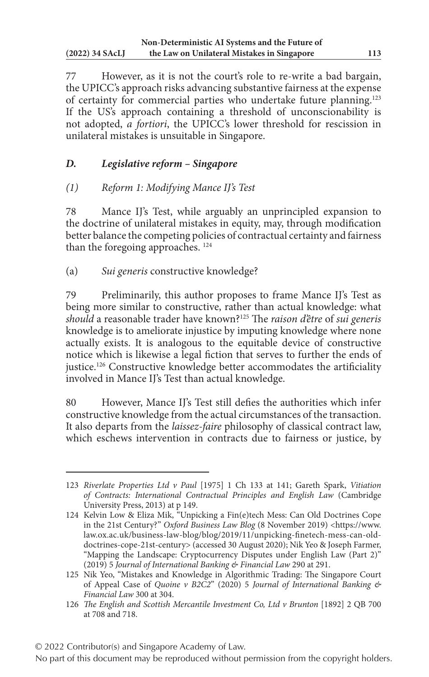77 However, as it is not the court's role to re-write a bad bargain, the UPICC's approach risks advancing substantive fairness at the expense of certainty for commercial parties who undertake future planning.<sup>123</sup> If the US's approach containing a threshold of unconscionability is not adopted, *a fortiori*, the UPICC's lower threshold for rescission in unilateral mistakes is unsuitable in Singapore.

# *D. Legislative reform – Singapore*

## *(1) Reform 1: Modifying Mance IJ's Test*

78 Mance IJ's Test, while arguably an unprincipled expansion to the doctrine of unilateral mistakes in equity, may, through modification better balance the competing policies of contractual certainty and fairness than the foregoing approaches. 124

(a) *Sui generis* constructive knowledge?

79 Preliminarily, this author proposes to frame Mance IJ's Test as being more similar to constructive, rather than actual knowledge: what *should* a reasonable trader have known?125 The *raison d'être* of *sui generis* knowledge is to ameliorate injustice by imputing knowledge where none actually exists. It is analogous to the equitable device of constructive notice which is likewise a legal fiction that serves to further the ends of justice.126 Constructive knowledge better accommodates the artificiality involved in Mance IJ's Test than actual knowledge.

80 However, Mance IJ's Test still defies the authorities which infer constructive knowledge from the actual circumstances of the transaction. It also departs from the *laissez-faire* philosophy of classical contract law, which eschews intervention in contracts due to fairness or justice, by

<sup>123</sup> *Riverlate Properties Ltd v Paul* [1975] 1 Ch 133 at 141; Gareth Spark, *Vitiation of Contracts: International Contractual Principles and English Law* (Cambridge University Press, 2013) at p 149.

<sup>124</sup> Kelvin Low & Eliza Mik, "Unpicking a Fin(e)tech Mess: Can Old Doctrines Cope in the 21st Century?" *Oxford Business Law Blog* (8 November 2019) <https://www. law.ox.ac.uk/business-law-blog/blog/2019/11/unpicking-finetech-mess-can-olddoctrines-cope-21st-century> (accessed 30 August 2020); Nik Yeo & Joseph Farmer, "Mapping the Landscape: Cryptocurrency Disputes under English Law (Part 2)" (2019) 5 *Journal of International Banking & Financial Law* 290 at 291.

<sup>125</sup> Nik Yeo, "Mistakes and Knowledge in Algorithmic Trading: The Singapore Court of Appeal Case of *Quoine v B2C2*" (2020) 5 *Journal of International Banking & Financial Law* 300 at 304.

<sup>126</sup> *The English and Scottish Mercantile Investment Co, Ltd v Brunton* [1892] 2 QB 700 at 708 and 718.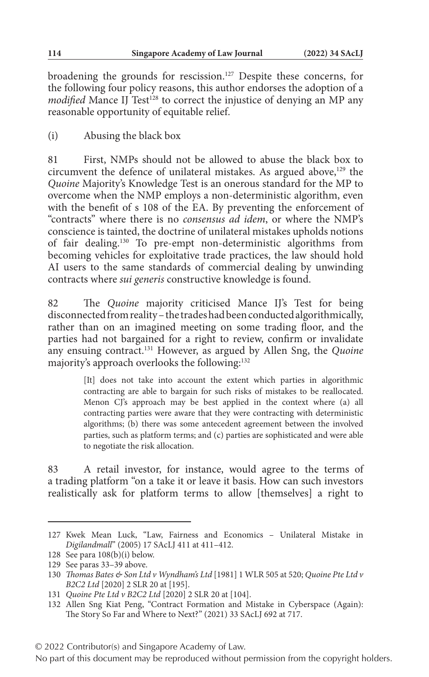broadening the grounds for rescission.<sup>127</sup> Despite these concerns, for the following four policy reasons, this author endorses the adoption of a *modified* Mance IJ Test<sup>128</sup> to correct the injustice of denying an MP any reasonable opportunity of equitable relief.

(i) Abusing the black box

81 First, NMPs should not be allowed to abuse the black box to circumvent the defence of unilateral mistakes. As argued above,<sup>129</sup> the *Quoine* Majority's Knowledge Test is an onerous standard for the MP to overcome when the NMP employs a non-deterministic algorithm, even with the benefit of s 108 of the EA. By preventing the enforcement of "contracts" where there is no *consensus ad idem*, or where the NMP's conscience is tainted, the doctrine of unilateral mistakes upholds notions of fair dealing.130 To pre-empt non-deterministic algorithms from becoming vehicles for exploitative trade practices, the law should hold AI users to the same standards of commercial dealing by unwinding contracts where *sui generis* constructive knowledge is found.

82 The *Quoine* majority criticised Mance IJ's Test for being disconnected from reality – the trades had been conducted algorithmically, rather than on an imagined meeting on some trading floor, and the parties had not bargained for a right to review, confirm or invalidate any ensuing contract.131 However, as argued by Allen Sng, the *Quoine* majority's approach overlooks the following:132

> [It] does not take into account the extent which parties in algorithmic contracting are able to bargain for such risks of mistakes to be reallocated. Menon CJ's approach may be best applied in the context where (a) all contracting parties were aware that they were contracting with deterministic algorithms; (b) there was some antecedent agreement between the involved parties, such as platform terms; and (c) parties are sophisticated and were able to negotiate the risk allocation.

83 A retail investor, for instance, would agree to the terms of a trading platform "on a take it or leave it basis. How can such investors realistically ask for platform terms to allow [themselves] a right to

<sup>127</sup> Kwek Mean Luck, "Law, Fairness and Economics – Unilateral Mistake in *Digilandmall*" (2005) 17 SAcLJ 411 at 411–412.

<sup>128</sup> See para 108(b)(i) below.

<sup>129</sup> See paras 33–39 above.

<sup>130</sup> *Thomas Bates & Son Ltd v Wyndham's Ltd* [1981] 1 WLR 505 at 520; *Quoine Pte Ltd v B2C2 Ltd* [2020] 2 SLR 20 at [195].

<sup>131</sup> *Quoine Pte Ltd v B2C2 Ltd* [2020] 2 SLR 20 at [104].

<sup>132</sup> Allen Sng Kiat Peng, "Contract Formation and Mistake in Cyberspace (Again): The Story So Far and Where to Next?" (2021) 33 SAcLJ 692 at 717.

<sup>© 2022</sup> Contributor(s) and Singapore Academy of Law.

No part of this document may be reproduced without permission from the copyright holders.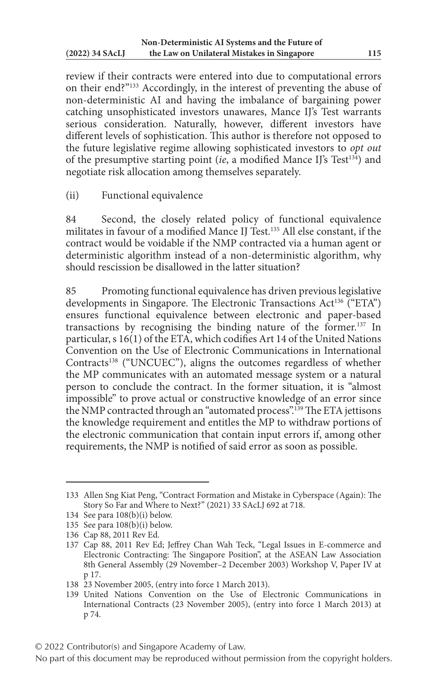review if their contracts were entered into due to computational errors on their end?"133 Accordingly, in the interest of preventing the abuse of non-deterministic AI and having the imbalance of bargaining power catching unsophisticated investors unawares, Mance IJ's Test warrants serious consideration. Naturally, however, different investors have different levels of sophistication. This author is therefore not opposed to the future legislative regime allowing sophisticated investors to *opt out* of the presumptive starting point (*ie*, a modified Mance IJ's Test<sup>134</sup>) and negotiate risk allocation among themselves separately.

(ii) Functional equivalence

84 Second, the closely related policy of functional equivalence militates in favour of a modified Mance IJ Test.135 All else constant, if the contract would be voidable if the NMP contracted via a human agent or deterministic algorithm instead of a non-deterministic algorithm, why should rescission be disallowed in the latter situation?

85 Promoting functional equivalence has driven previous legislative developments in Singapore. The Electronic Transactions Act<sup>136</sup> ("ETA") ensures functional equivalence between electronic and paper-based transactions by recognising the binding nature of the former.137 In particular, s 16(1) of the ETA, which codifies Art 14 of the United Nations Convention on the Use of Electronic Communications in International Contracts<sup>138</sup> ("UNCUEC"), aligns the outcomes regardless of whether the MP communicates with an automated message system or a natural person to conclude the contract. In the former situation, it is "almost impossible" to prove actual or constructive knowledge of an error since the NMP contracted through an "automated process".139 The ETA jettisons the knowledge requirement and entitles the MP to withdraw portions of the electronic communication that contain input errors if, among other requirements, the NMP is notified of said error as soon as possible.

<sup>133</sup> Allen Sng Kiat Peng, "Contract Formation and Mistake in Cyberspace (Again): The Story So Far and Where to Next?" (2021) 33 SAcLJ 692 at 718.

<sup>134</sup> See para 108(b)(i) below.

<sup>135</sup> See para 108(b)(i) below.

<sup>136</sup> Cap 88, 2011 Rev Ed.

<sup>137</sup> Cap 88, 2011 Rev Ed; Jeffrey Chan Wah Teck, "Legal Issues in E-commerce and Electronic Contracting: The Singapore Position", at the ASEAN Law Association 8th General Assembly (29 November–2 December 2003) Workshop V, Paper IV at p 17.

<sup>138</sup> 23 November 2005, (entry into force 1 March 2013).

<sup>139</sup> United Nations Convention on the Use of Electronic Communications in International Contracts (23 November 2005), (entry into force 1 March 2013) at p 74.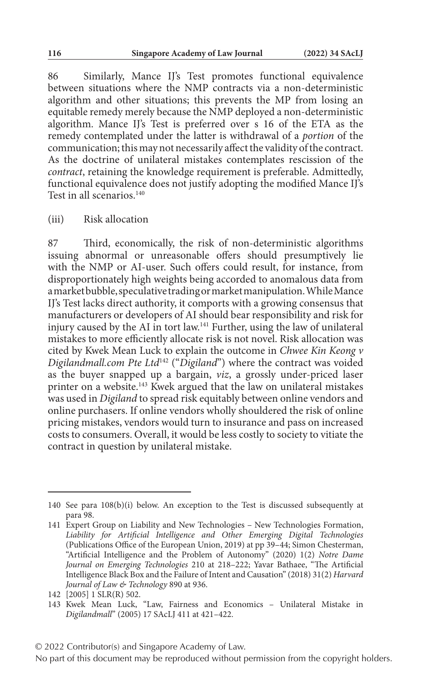86 Similarly, Mance IJ's Test promotes functional equivalence between situations where the NMP contracts via a non-deterministic algorithm and other situations; this prevents the MP from losing an equitable remedy merely because the NMP deployed a non-deterministic algorithm. Mance IJ's Test is preferred over s 16 of the ETA as the remedy contemplated under the latter is withdrawal of a *portion* of the communication; this may not necessarily affect the validity of the contract. As the doctrine of unilateral mistakes contemplates rescission of the *contract*, retaining the knowledge requirement is preferable. Admittedly, functional equivalence does not justify adopting the modified Mance IJ's Test in all scenarios.<sup>140</sup>

(iii) Risk allocation

87 Third, economically, the risk of non-deterministic algorithms issuing abnormal or unreasonable offers should presumptively lie with the NMP or AI-user. Such offers could result, for instance, from disproportionately high weights being accorded to anomalous data from a market bubble, speculative trading or market manipulation. While Mance IJ's Test lacks direct authority, it comports with a growing consensus that manufacturers or developers of AI should bear responsibility and risk for injury caused by the AI in tort law.141 Further, using the law of unilateral mistakes to more efficiently allocate risk is not novel. Risk allocation was cited by Kwek Mean Luck to explain the outcome in *Chwee Kin Keong v Digilandmall.com Pte Ltd*142 ("*Digiland*") where the contract was voided as the buyer snapped up a bargain, *viz*, a grossly under-priced laser printer on a website.<sup>143</sup> Kwek argued that the law on unilateral mistakes was used in *Digiland* to spread risk equitably between online vendors and online purchasers. If online vendors wholly shouldered the risk of online pricing mistakes, vendors would turn to insurance and pass on increased costs to consumers. Overall, it would be less costly to society to vitiate the contract in question by unilateral mistake.

<sup>140</sup> See para 108(b)(i) below. An exception to the Test is discussed subsequently at para 98.

<sup>141</sup> Expert Group on Liability and New Technologies – New Technologies Formation, *Liability for Artificial Intelligence and Other Emerging Digital Technologies* (Publications Office of the European Union, 2019) at pp 39–44; Simon Chesterman, "Artificial Intelligence and the Problem of Autonomy" (2020) 1(2) *Notre Dame Journal on Emerging Technologies* 210 at 218–222; Yavar Bathaee, "The Artificial Intelligence Black Box and the Failure of Intent and Causation" (2018) 31(2) *Harvard Journal of Law & Technology* 890 at 936.

<sup>142</sup> [2005] 1 SLR(R) 502.

<sup>143</sup> Kwek Mean Luck, "Law, Fairness and Economics – Unilateral Mistake in *Digilandmall*" (2005) 17 SAcLJ 411 at 421–422.

No part of this document may be reproduced without permission from the copyright holders.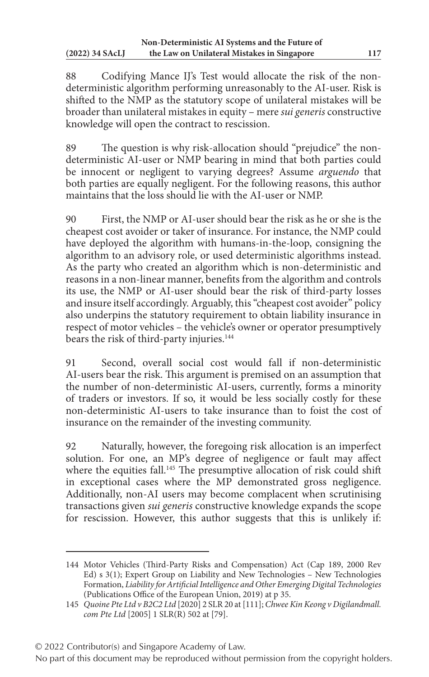88 Codifying Mance IJ's Test would allocate the risk of the nondeterministic algorithm performing unreasonably to the AI-user. Risk is shifted to the NMP as the statutory scope of unilateral mistakes will be broader than unilateral mistakes in equity – mere *sui generis* constructive knowledge will open the contract to rescission.

89 The question is why risk-allocation should "prejudice" the nondeterministic AI-user or NMP bearing in mind that both parties could be innocent or negligent to varying degrees? Assume *arguendo* that both parties are equally negligent. For the following reasons, this author maintains that the loss should lie with the AI-user or NMP.

90 First, the NMP or AI-user should bear the risk as he or she is the cheapest cost avoider or taker of insurance. For instance, the NMP could have deployed the algorithm with humans-in-the-loop, consigning the algorithm to an advisory role, or used deterministic algorithms instead. As the party who created an algorithm which is non-deterministic and reasons in a non-linear manner, benefits from the algorithm and controls its use, the NMP or AI-user should bear the risk of third-party losses and insure itself accordingly. Arguably, this "cheapest cost avoider" policy also underpins the statutory requirement to obtain liability insurance in respect of motor vehicles – the vehicle's owner or operator presumptively bears the risk of third-party injuries.<sup>144</sup>

91 Second, overall social cost would fall if non-deterministic AI-users bear the risk. This argument is premised on an assumption that the number of non-deterministic AI-users, currently, forms a minority of traders or investors. If so, it would be less socially costly for these non-deterministic AI-users to take insurance than to foist the cost of insurance on the remainder of the investing community.

92 Naturally, however, the foregoing risk allocation is an imperfect solution. For one, an MP's degree of negligence or fault may affect where the equities fall.<sup>145</sup> The presumptive allocation of risk could shift in exceptional cases where the MP demonstrated gross negligence. Additionally, non-AI users may become complacent when scrutinising transactions given *sui generis* constructive knowledge expands the scope for rescission. However, this author suggests that this is unlikely if:

<sup>144</sup> Motor Vehicles (Third-Party Risks and Compensation) Act (Cap 189, 2000 Rev Ed) s 3(1); Expert Group on Liability and New Technologies – New Technologies Formation, *Liability for Artificial Intelligence and Other Emerging Digital Technologies* (Publications Office of the European Union, 2019) at p 35.

<sup>145</sup> *Quoine Pte Ltd v B2C2 Ltd* [2020] 2 SLR 20 at [111]; *Chwee Kin Keong v Digilandmall. com Pte Ltd* [2005] 1 SLR(R) 502 at [79].

<sup>© 2022</sup> Contributor(s) and Singapore Academy of Law.

No part of this document may be reproduced without permission from the copyright holders.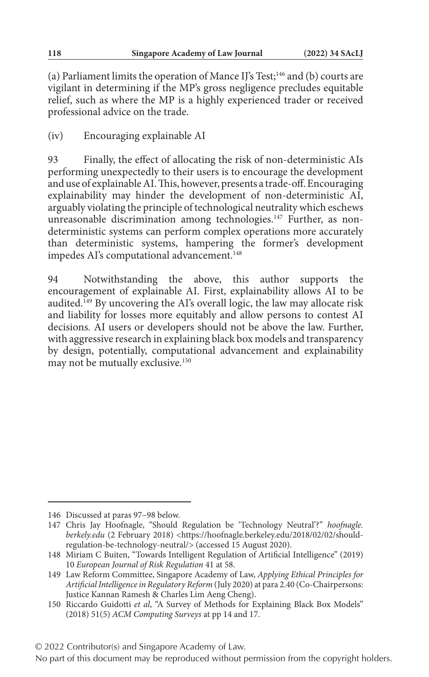(a) Parliament limits the operation of Mance IJ's Test;146 and (b) courts are vigilant in determining if the MP's gross negligence precludes equitable relief, such as where the MP is a highly experienced trader or received professional advice on the trade.

(iv) Encouraging explainable AI

93 Finally, the effect of allocating the risk of non-deterministic AIs performing unexpectedly to their users is to encourage the development and use of explainable AI. This, however, presents a trade-off. Encouraging explainability may hinder the development of non-deterministic AI, arguably violating the principle of technological neutrality which eschews unreasonable discrimination among technologies.<sup>147</sup> Further, as nondeterministic systems can perform complex operations more accurately than deterministic systems, hampering the former's development impedes AI's computational advancement.<sup>148</sup>

94 Notwithstanding the above, this author supports the encouragement of explainable AI. First, explainability allows AI to be audited.149 By uncovering the AI's overall logic, the law may allocate risk and liability for losses more equitably and allow persons to contest AI decisions. AI users or developers should not be above the law. Further, with aggressive research in explaining black box models and transparency by design, potentially, computational advancement and explainability may not be mutually exclusive.150

<sup>146</sup> Discussed at paras 97–98 below.

<sup>147</sup> Chris Jay Hoofnagle, "Should Regulation be 'Technology Neutral'?" *hoofnagle.* berkely.edu (2 February 2018) <https://hoofnagle.berkeley.edu/2018/02/02/shouldregulation-be-technology-neutral/> (accessed 15 August 2020).

<sup>148</sup> Miriam C Buiten, "Towards Intelligent Regulation of Artificial Intelligence" (2019) 10 *European Journal of Risk Regulation* 41 at 58.

<sup>149</sup> Law Reform Committee, Singapore Academy of Law, *Applying Ethical Principles for Artificial Intelligence in Regulatory Reform* (July 2020) at para 2.40 (Co-Chairpersons: Justice Kannan Ramesh & Charles Lim Aeng Cheng).

<sup>150</sup> Riccardo Guidotti *et al*, "A Survey of Methods for Explaining Black Box Models" (2018) 51(5) *ACM Computing Surveys* at pp 14 and 17.

<sup>© 2022</sup> Contributor(s) and Singapore Academy of Law.

No part of this document may be reproduced without permission from the copyright holders.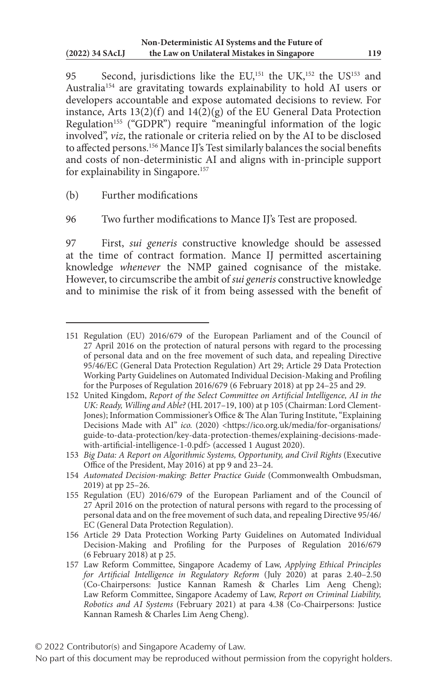95 Second, jurisdictions like the EU,<sup>151</sup> the UK,<sup>152</sup> the US<sup>153</sup> and Australia154 are gravitating towards explainability to hold AI users or developers accountable and expose automated decisions to review. For instance, Arts  $13(2)(f)$  and  $14(2)(g)$  of the EU General Data Protection Regulation<sup>155</sup> ("GDPR") require "meaningful information of the logic involved", *viz*, the rationale or criteria relied on by the AI to be disclosed to affected persons.<sup>156</sup> Mance IJ's Test similarly balances the social benefits and costs of non-deterministic AI and aligns with in-principle support for explainability in Singapore.<sup>157</sup>

(b) Further modifications

96 Two further modifications to Mance IJ's Test are proposed.

97 First, *sui generis* constructive knowledge should be assessed at the time of contract formation. Mance IJ permitted ascertaining knowledge *whenever* the NMP gained cognisance of the mistake. However, to circumscribe the ambit of *sui generis* constructive knowledge and to minimise the risk of it from being assessed with the benefit of

<sup>151</sup> Regulation (EU) 2016/679 of the European Parliament and of the Council of 27 April 2016 on the protection of natural persons with regard to the processing of personal data and on the free movement of such data, and repealing Directive 95/46/EC (General Data Protection Regulation) Art 29; Article 29 Data Protection Working Party Guidelines on Automated Individual Decision-Making and Profiling for the Purposes of Regulation 2016/679 (6 February 2018) at pp 24–25 and 29.

<sup>152</sup> United Kingdom, *Report of the Select Committee on Artificial Intelligence, AI in the UK: Ready, Willing and Able?* (HL 2017–19, 100) at p 105 (Chairman: Lord Clement-Jones); Information Commissioner's Office & The Alan Turing Institute, "Explaining Decisions Made with AI" *ico.* (2020) <https://ico.org.uk/media/for-organisations/ guide-to-data-protection/key-data-protection-themes/explaining-decisions-madewith-artificial-intelligence-1-0.pdf> (accessed 1 August 2020).

<sup>153</sup> *Big Data: A Report on Algorithmic Systems, Opportunity, and Civil Rights* (Executive Office of the President, May 2016) at pp 9 and 23–24.

<sup>154</sup> *Automated Decision-making: Better Practice Guide* (Commonwealth Ombudsman, 2019) at pp 25–26.

<sup>155</sup> Regulation (EU) 2016/679 of the European Parliament and of the Council of 27 April 2016 on the protection of natural persons with regard to the processing of personal data and on the free movement of such data, and repealing Directive 95/46/ EC (General Data Protection Regulation).

<sup>156</sup> Article 29 Data Protection Working Party Guidelines on Automated Individual Decision-Making and Profiling for the Purposes of Regulation 2016/679 (6 February 2018) at p 25.

<sup>157</sup> Law Reform Committee, Singapore Academy of Law, *Applying Ethical Principles for Artificial Intelligence in Regulatory Reform* (July 2020) at paras 2.40–2.50 (Co-Chairpersons: Justice Kannan Ramesh & Charles Lim Aeng Cheng); Law Reform Committee, Singapore Academy of Law, *Report on Criminal Liability, Robotics and AI Systems* (February 2021) at para 4.38 (Co-Chairpersons: Justice Kannan Ramesh & Charles Lim Aeng Cheng).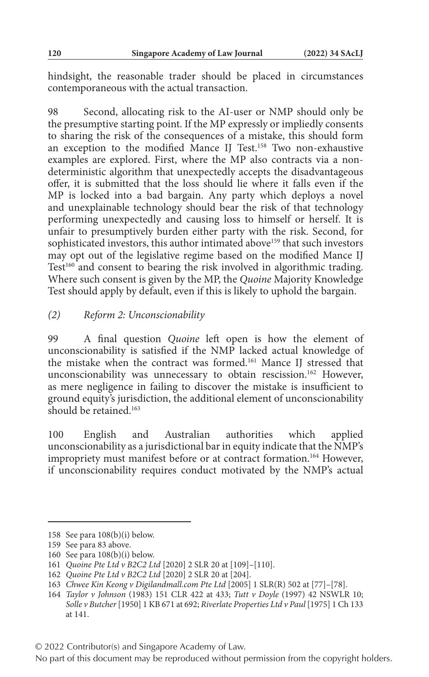hindsight, the reasonable trader should be placed in circumstances contemporaneous with the actual transaction.

98 Second, allocating risk to the AI-user or NMP should only be the presumptive starting point. If the MP expressly or impliedly consents to sharing the risk of the consequences of a mistake, this should form an exception to the modified Mance IJ Test.158 Two non-exhaustive examples are explored. First, where the MP also contracts via a nondeterministic algorithm that unexpectedly accepts the disadvantageous offer, it is submitted that the loss should lie where it falls even if the MP is locked into a bad bargain. Any party which deploys a novel and unexplainable technology should bear the risk of that technology performing unexpectedly and causing loss to himself or herself. It is unfair to presumptively burden either party with the risk. Second, for sophisticated investors, this author intimated above<sup>159</sup> that such investors may opt out of the legislative regime based on the modified Mance IJ Test<sup>160</sup> and consent to bearing the risk involved in algorithmic trading. Where such consent is given by the MP, the *Quoine* Majority Knowledge Test should apply by default, even if this is likely to uphold the bargain.

### *(2) Reform 2: Unconscionability*

99 A final question *Quoine* left open is how the element of unconscionability is satisfied if the NMP lacked actual knowledge of the mistake when the contract was formed.161 Mance IJ stressed that unconscionability was unnecessary to obtain rescission.<sup>162</sup> However, as mere negligence in failing to discover the mistake is insufficient to ground equity's jurisdiction, the additional element of unconscionability should be retained.<sup>163</sup>

100 English and Australian authorities which applied unconscionability as a jurisdictional bar in equity indicate that the NMP's impropriety must manifest before or at contract formation.<sup>164</sup> However, if unconscionability requires conduct motivated by the NMP's actual

<sup>158</sup> See para 108(b)(i) below.

<sup>159</sup> See para 83 above.

<sup>160</sup> See para 108(b)(i) below.

<sup>161</sup> *Quoine Pte Ltd v B2C2 Ltd* [2020] 2 SLR 20 at [109]–[110].

<sup>162</sup> *Quoine Pte Ltd v B2C2 Ltd* [2020] 2 SLR 20 at [204].

<sup>163</sup> *Chwee Kin Keong v Digilandmall.com Pte Ltd* [2005] 1 SLR(R) 502 at [77]–[78].

<sup>164</sup> *Taylor v Johnson* (1983) 151 CLR 422 at 433; *Tutt v Doyle* (1997) 42 NSWLR 10; *Solle v Butcher* [1950] 1 KB 671 at 692; *Riverlate Properties Ltd v Paul* [1975] 1 Ch 133 at 141.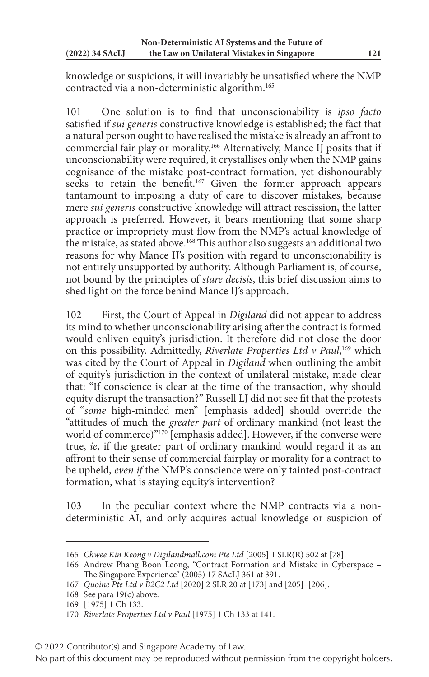knowledge or suspicions, it will invariably be unsatisfied where the NMP contracted via a non-deterministic algorithm.165

101 One solution is to find that unconscionability is *ipso facto* satisfied if *sui generis* constructive knowledge is established; the fact that a natural person ought to have realised the mistake is already an affront to commercial fair play or morality.<sup>166</sup> Alternatively, Mance IJ posits that if unconscionability were required, it crystallises only when the NMP gains cognisance of the mistake post-contract formation, yet dishonourably seeks to retain the benefit.<sup>167</sup> Given the former approach appears tantamount to imposing a duty of care to discover mistakes, because mere *sui generis* constructive knowledge will attract rescission, the latter approach is preferred. However, it bears mentioning that some sharp practice or impropriety must flow from the NMP's actual knowledge of the mistake, as stated above.168 This author also suggests an additional two reasons for why Mance IJ's position with regard to unconscionability is not entirely unsupported by authority. Although Parliament is, of course, not bound by the principles of *stare decisis*, this brief discussion aims to shed light on the force behind Mance IJ's approach.

102 First, the Court of Appeal in *Digiland* did not appear to address its mind to whether unconscionability arising after the contract is formed would enliven equity's jurisdiction. It therefore did not close the door on this possibility. Admittedly, *Riverlate Properties Ltd v Paul*, 169 which was cited by the Court of Appeal in *Digiland* when outlining the ambit of equity's jurisdiction in the context of unilateral mistake, made clear that: "If conscience is clear at the time of the transaction, why should equity disrupt the transaction?" Russell LJ did not see fit that the protests of "*some* high-minded men" [emphasis added] should override the "attitudes of much the *greater part* of ordinary mankind (not least the world of commerce)"<sup>170</sup> [emphasis added]. However, if the converse were true, *ie*, if the greater part of ordinary mankind would regard it as an affront to their sense of commercial fairplay or morality for a contract to be upheld, *even if* the NMP's conscience were only tainted post-contract formation, what is staying equity's intervention?

103 In the peculiar context where the NMP contracts via a nondeterministic AI, and only acquires actual knowledge or suspicion of

<sup>165</sup> *Chwee Kin Keong v Digilandmall.com Pte Ltd* [2005] 1 SLR(R) 502 at [78].

<sup>166</sup> Andrew Phang Boon Leong, "Contract Formation and Mistake in Cyberspace – The Singapore Experience" (2005) 17 SAcLJ 361 at 391.

<sup>167</sup> *Quoine Pte Ltd v B2C2 Ltd* [2020] 2 SLR 20 at [173] and [205]–[206].

<sup>168</sup> See para 19(c) above.

<sup>169</sup> [1975] 1 Ch 133.

<sup>170</sup> *Riverlate Properties Ltd v Paul* [1975] 1 Ch 133 at 141.

<sup>© 2022</sup> Contributor(s) and Singapore Academy of Law.

No part of this document may be reproduced without permission from the copyright holders.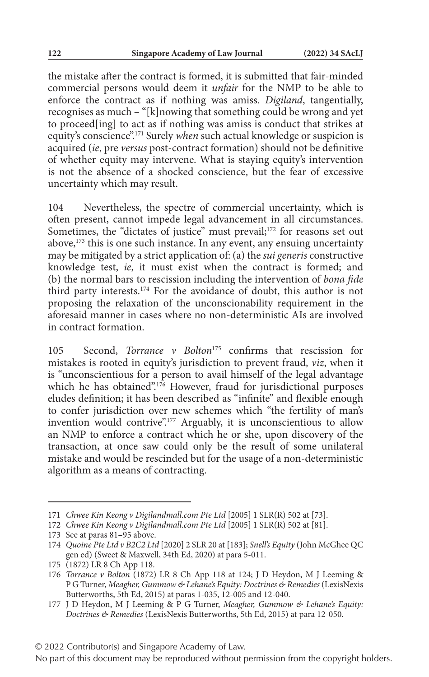the mistake after the contract is formed, it is submitted that fair-minded commercial persons would deem it *unfair* for the NMP to be able to enforce the contract as if nothing was amiss. *Digiland*, tangentially, recognises as much – "[k]nowing that something could be wrong and yet to proceed[ing] to act as if nothing was amiss is conduct that strikes at equity's conscience".171 Surely *when* such actual knowledge or suspicion is acquired (*ie*, pre *versus* post-contract formation) should not be definitive of whether equity may intervene. What is staying equity's intervention is not the absence of a shocked conscience, but the fear of excessive uncertainty which may result.

104 Nevertheless, the spectre of commercial uncertainty, which is often present, cannot impede legal advancement in all circumstances. Sometimes, the "dictates of justice" must prevail;<sup>172</sup> for reasons set out above,<sup>173</sup> this is one such instance. In any event, any ensuing uncertainty may be mitigated by a strict application of: (a) the *sui generis* constructive knowledge test, *ie*, it must exist when the contract is formed; and (b) the normal bars to rescission including the intervention of *bona fide* third party interests.174 For the avoidance of doubt, this author is not proposing the relaxation of the unconscionability requirement in the aforesaid manner in cases where no non-deterministic AIs are involved in contract formation.

105 Second, *Torrance v Bolton*175 confirms that rescission for mistakes is rooted in equity's jurisdiction to prevent fraud, *viz*, when it is "unconscientious for a person to avail himself of the legal advantage which he has obtained".<sup>176</sup> However, fraud for jurisdictional purposes eludes definition; it has been described as "infinite" and flexible enough to confer jurisdiction over new schemes which "the fertility of man's invention would contrive".<sup>177</sup> Arguably, it is unconscientious to allow an NMP to enforce a contract which he or she, upon discovery of the transaction, at once saw could only be the result of some unilateral mistake and would be rescinded but for the usage of a non-deterministic algorithm as a means of contracting.

<sup>171</sup> *Chwee Kin Keong v Digilandmall.com Pte Ltd* [2005] 1 SLR(R) 502 at [73].

<sup>172</sup> *Chwee Kin Keong v Digilandmall.com Pte Ltd* [2005] 1 SLR(R) 502 at [81].

<sup>173</sup> See at paras 81–95 above.

<sup>174</sup> *Quoine Pte Ltd v B2C2 Ltd* [2020] 2 SLR 20 at [183]; *Snell's Equity* (John McGhee QC gen ed) (Sweet & Maxwell, 34th Ed, 2020) at para 5-011.

<sup>175 (1872)</sup> LR 8 Ch App 118.

<sup>176</sup> *Torrance v Bolton* (1872) LR 8 Ch App 118 at 124; J D Heydon, M J Leeming & P G Turner, *Meagher, Gummow & Lehane's Equity: Doctrines & Remedies* (LexisNexis Butterworths, 5th Ed, 2015) at paras 1-035, 12-005 and 12-040.

<sup>177</sup> J D Heydon, M J Leeming & P G Turner, *Meagher, Gummow & Lehane's Equity: Doctrines & Remedies* (LexisNexis Butterworths, 5th Ed, 2015) at para 12-050.

<sup>© 2022</sup> Contributor(s) and Singapore Academy of Law.

No part of this document may be reproduced without permission from the copyright holders.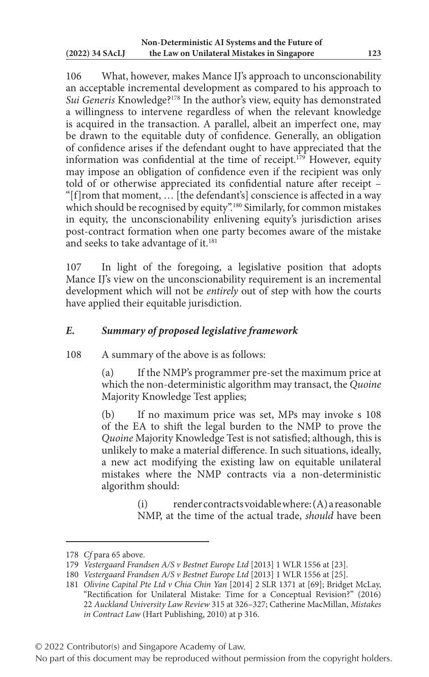106 What, however, makes Mance IJ's approach to unconscionability an acceptable incremental development as compared to his approach to *Sui Generis* Knowledge?178 In the author's view, equity has demonstrated a willingness to intervene regardless of when the relevant knowledge is acquired in the transaction. A parallel, albeit an imperfect one, may be drawn to the equitable duty of confidence. Generally, an obligation of confidence arises if the defendant ought to have appreciated that the information was confidential at the time of receipt.<sup>179</sup> However, equity may impose an obligation of confidence even if the recipient was only told of or otherwise appreciated its confidential nature after receipt – "[f]rom that moment, … [the defendant's] conscience is affected in a way which should be recognised by equity".<sup>180</sup> Similarly, for common mistakes in equity, the unconscionability enlivening equity's jurisdiction arises post-contract formation when one party becomes aware of the mistake and seeks to take advantage of it.<sup>181</sup>

107 In light of the foregoing, a legislative position that adopts Mance IJ's view on the unconscionability requirement is an incremental development which will not be *entirely* out of step with how the courts have applied their equitable jurisdiction.

### *E. Summary of proposed legislative framework*

108 A summary of the above is as follows:

(a) If the NMP's programmer pre-set the maximum price at which the non-deterministic algorithm may transact, the *Quoine* Majority Knowledge Test applies;

(b) If no maximum price was set, MPs may invoke s 108 of the EA to shift the legal burden to the NMP to prove the *Quoine* Majority Knowledge Test is not satisfied; although, this is unlikely to make a material difference. In such situations, ideally, a new act modifying the existing law on equitable unilateral mistakes where the NMP contracts via a non-deterministic algorithm should:

> $(i)$  render contracts voidable where:  $(A)$  a reasonable NMP, at the time of the actual trade, *should* have been

© 2022 Contributor(s) and Singapore Academy of Law.

<sup>178</sup> *Cf* para 65 above.

<sup>179</sup> *Vestergaard Frandsen A/S v Bestnet Europe Ltd* [2013] 1 WLR 1556 at [23].

<sup>180</sup> *Vestergaard Frandsen A/S v Bestnet Europe Ltd* [2013] 1 WLR 1556 at [25].

<sup>181</sup> *Olivine Capital Pte Ltd v Chia Chin Yan* [2014] 2 SLR 1371 at [69]; Bridget McLay, "Rectification for Unilateral Mistake: Time for a Conceptual Revision?" (2016) 22 *Auckland University Law Review* 315 at 326–327; Catherine MacMillan, *Mistakes in Contract Law* (Hart Publishing, 2010) at p 316.